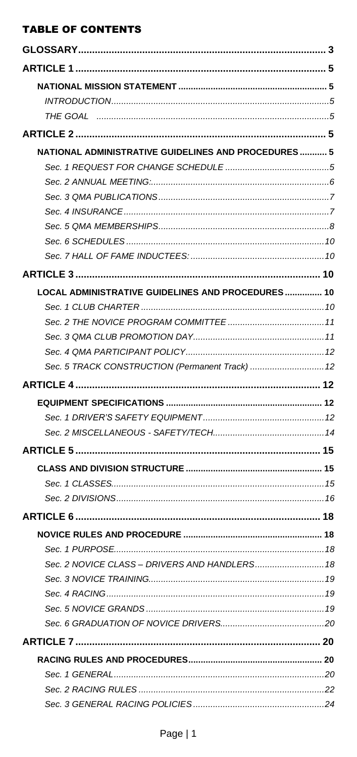# **TABLE OF CONTENTS**

| <b>NATIONAL ADMINISTRATIVE GUIDELINES AND PROCEDURES 5</b> |  |
|------------------------------------------------------------|--|
|                                                            |  |
|                                                            |  |
|                                                            |  |
|                                                            |  |
|                                                            |  |
|                                                            |  |
|                                                            |  |
|                                                            |  |
| LOCAL ADMINISTRATIVE GUIDELINES AND PROCEDURES 10          |  |
|                                                            |  |
|                                                            |  |
|                                                            |  |
|                                                            |  |
| Sec. 5 TRACK CONSTRUCTION (Permanent Track)  12            |  |
|                                                            |  |
|                                                            |  |
|                                                            |  |
|                                                            |  |
|                                                            |  |
|                                                            |  |
|                                                            |  |
|                                                            |  |
|                                                            |  |
|                                                            |  |
|                                                            |  |
|                                                            |  |
|                                                            |  |
|                                                            |  |
|                                                            |  |
|                                                            |  |
|                                                            |  |
|                                                            |  |
|                                                            |  |
|                                                            |  |
|                                                            |  |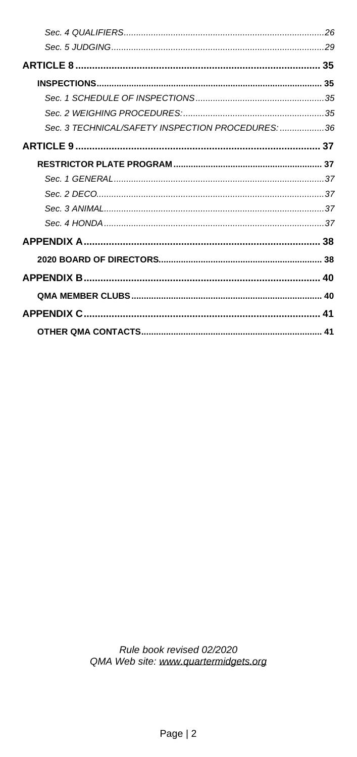| Sec. 3 TECHNICAL/SAFETY INSPECTION PROCEDURES: 36 |  |
|---------------------------------------------------|--|
|                                                   |  |
|                                                   |  |
|                                                   |  |
|                                                   |  |
|                                                   |  |
|                                                   |  |
|                                                   |  |
|                                                   |  |
|                                                   |  |
|                                                   |  |
|                                                   |  |
|                                                   |  |
|                                                   |  |

Rule book revised 02/2020 QMA Web site: www.quartermidgets.org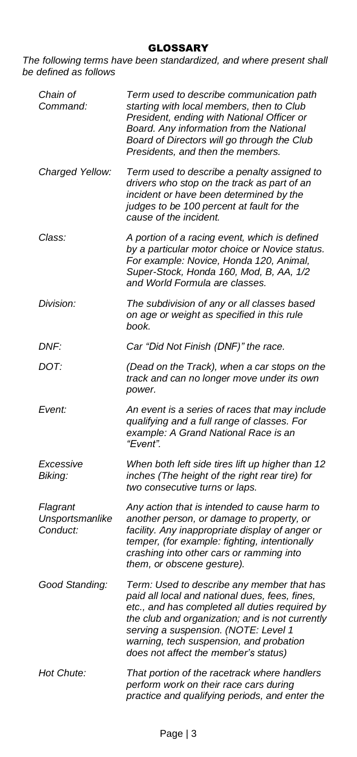#### GLOSSARY

<span id="page-2-0"></span>*The following terms have been standardized, and where present shall be defined as follows*

| Chain of<br>Command:                    | Term used to describe communication path<br>starting with local members, then to Club<br>President, ending with National Officer or<br>Board. Any information from the National<br>Board of Directors will go through the Club<br>Presidents, and then the members.                                                          |
|-----------------------------------------|------------------------------------------------------------------------------------------------------------------------------------------------------------------------------------------------------------------------------------------------------------------------------------------------------------------------------|
| Charged Yellow:                         | Term used to describe a penalty assigned to<br>drivers who stop on the track as part of an<br>incident or have been determined by the<br>judges to be 100 percent at fault for the<br>cause of the incident.                                                                                                                 |
| Class:                                  | A portion of a racing event, which is defined<br>by a particular motor choice or Novice status.<br>For example: Novice, Honda 120, Animal,<br>Super-Stock, Honda 160, Mod, B, AA, 1/2<br>and World Formula are classes.                                                                                                      |
| Division:                               | The subdivision of any or all classes based<br>on age or weight as specified in this rule<br>book.                                                                                                                                                                                                                           |
| DNF:                                    | Car "Did Not Finish (DNF)" the race.                                                                                                                                                                                                                                                                                         |
| DOT:                                    | (Dead on the Track), when a car stops on the<br>track and can no longer move under its own<br>power.                                                                                                                                                                                                                         |
| Event:                                  | An event is a series of races that may include<br>qualifying and a full range of classes. For<br>example: A Grand National Race is an<br>"Fvent"                                                                                                                                                                             |
| Excessive<br>Biking:                    | When both left side tires lift up higher than 12<br>inches (The height of the right rear tire) for<br>two consecutive turns or laps.                                                                                                                                                                                         |
| Flagrant<br>Unsportsmanlike<br>Conduct: | Any action that is intended to cause harm to<br>another person, or damage to property, or<br>facility. Any inappropriate display of anger or<br>temper, (for example: fighting, intentionally<br>crashing into other cars or ramming into<br>them, or obscene gesture).                                                      |
| Good Standing:                          | Term: Used to describe any member that has<br>paid all local and national dues, fees, fines,<br>etc., and has completed all duties required by<br>the club and organization; and is not currently<br>serving a suspension. (NOTE: Level 1<br>warning, tech suspension, and probation<br>does not affect the member's status) |
| Hot Chute:                              | That portion of the racetrack where handlers<br>perform work on their race cars during<br>practice and qualifying periods, and enter the                                                                                                                                                                                     |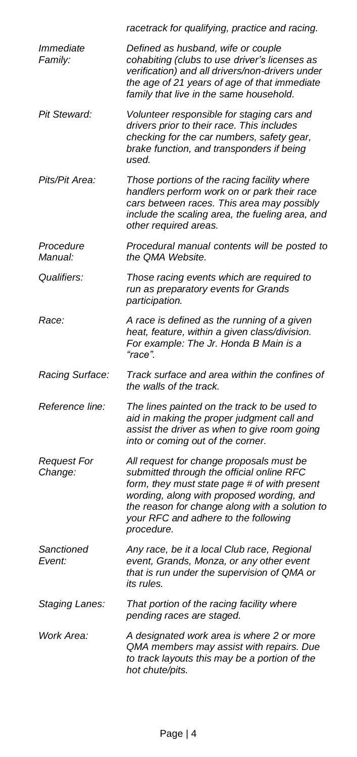|                               | racetrack for qualifying, practice and racing.                                                                                                                                                                                                                                             |
|-------------------------------|--------------------------------------------------------------------------------------------------------------------------------------------------------------------------------------------------------------------------------------------------------------------------------------------|
| Immediate<br>Family:          | Defined as husband, wife or couple<br>cohabiting (clubs to use driver's licenses as<br>verification) and all drivers/non-drivers under<br>the age of 21 years of age of that immediate<br>family that live in the same household.                                                          |
| Pit Steward:                  | Volunteer responsible for staging cars and<br>drivers prior to their race. This includes<br>checking for the car numbers, safety gear,<br>brake function, and transponders if being<br>used.                                                                                               |
| Pits/Pit Area:                | Those portions of the racing facility where<br>handlers perform work on or park their race<br>cars between races. This area may possibly<br>include the scaling area, the fueling area, and<br>other required areas.                                                                       |
| Procedure<br>Manual:          | Procedural manual contents will be posted to<br>the QMA Website.                                                                                                                                                                                                                           |
| Qualifiers:                   | Those racing events which are required to<br>run as preparatory events for Grands<br>participation.                                                                                                                                                                                        |
| Race:                         | A race is defined as the running of a given<br>heat, feature, within a given class/division.<br>For example: The Jr. Honda B Main is a<br>"race".                                                                                                                                          |
| Racing Surface:               | Track surface and area within the confines of<br>the walls of the track.                                                                                                                                                                                                                   |
| Reference line:               | The lines painted on the track to be used to<br>aid in making the proper judgment call and<br>assist the driver as when to give room going<br>into or coming out of the corner.                                                                                                            |
| <b>Request For</b><br>Change: | All request for change proposals must be<br>submitted through the official online RFC<br>form, they must state page # of with present<br>wording, along with proposed wording, and<br>the reason for change along with a solution to<br>your RFC and adhere to the following<br>procedure. |
| Sanctioned<br>Event:          | Any race, be it a local Club race, Regional<br>event, Grands, Monza, or any other event<br>that is run under the supervision of QMA or<br>its rules.                                                                                                                                       |
| Staging Lanes:                | That portion of the racing facility where<br>pending races are staged.                                                                                                                                                                                                                     |
| Work Area:                    | A designated work area is where 2 or more<br>QMA members may assist with repairs. Due<br>to track layouts this may be a portion of the<br>hot chute/pits.                                                                                                                                  |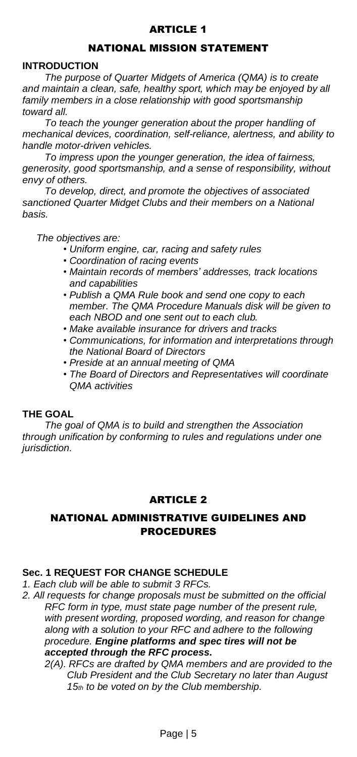# ARTICLE 1

# NATIONAL MISSION STATEMENT

## <span id="page-4-2"></span><span id="page-4-1"></span><span id="page-4-0"></span>**INTRODUCTION**

*The purpose of Quarter Midgets of America (QMA) is to create and maintain a clean, safe, healthy sport, which may be enjoyed by all family members in a close relationship with good sportsmanship toward all.*

*To teach the younger generation about the proper handling of mechanical devices, coordination, self-reliance, alertness, and ability to handle motor-driven vehicles.*

*To impress upon the younger generation, the idea of fairness, generosity, good sportsmanship, and a sense of responsibility, without envy of others.*

*To develop, direct, and promote the objectives of associated sanctioned Quarter Midget Clubs and their members on a National basis.*

*The objectives are:*

- *• Uniform engine, car, racing and safety rules*
- *• Coordination of racing events*
- *• Maintain records of members' addresses, track locations and capabilities*
- *• Publish a QMA Rule book and send one copy to each member. The QMA Procedure Manuals disk will be given to each NBOD and one sent out to each club.*
- *• Make available insurance for drivers and tracks*
- *• Communications, for information and interpretations through the National Board of Directors*
- *• Preside at an annual meeting of QMA*
- *• The Board of Directors and Representatives will coordinate QMA activities*

## <span id="page-4-3"></span>**THE GOAL**

*The goal of QMA is to build and strengthen the Association through unification by conforming to rules and regulations under one jurisdiction.*

#### ARTICLE 2

## <span id="page-4-5"></span><span id="page-4-4"></span>NATIONAL ADMINISTRATIVE GUIDELINES AND PROCEDURES

#### <span id="page-4-6"></span>**Sec. 1 REQUEST FOR CHANGE SCHEDULE**

*1. Each club will be able to submit 3 RFCs.*

*2. All requests for change proposals must be submitted on the official RFC form in type, must state page number of the present rule, with present wording, proposed wording, and reason for change along with a solution to your RFC and adhere to the following procedure. Engine platforms and spec tires will not be accepted through the RFC process.*

*2(A). RFCs are drafted by QMA members and are provided to the Club President and the Club Secretary no later than August 15th to be voted on by the Club membership.*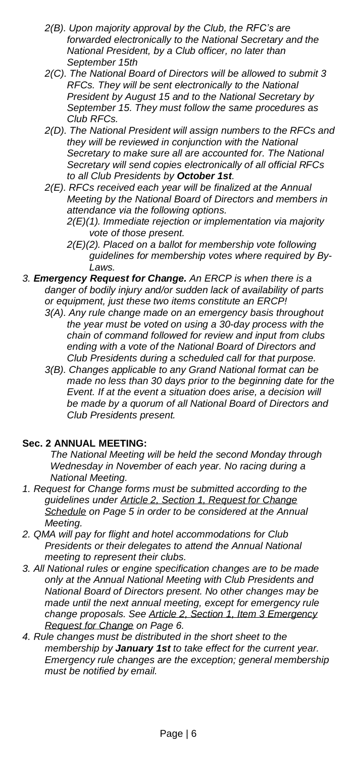- *2(B). Upon majority approval by the Club, the RFC's are forwarded electronically to the National Secretary and the National President, by a Club officer, no later than September 15th*
- *2(C). The National Board of Directors will be allowed to submit 3 RFCs. They will be sent electronically to the National President by August 15 and to the National Secretary by September 15. They must follow the same procedures as Club RFCs.*
- *2(D). The National President will assign numbers to the RFCs and they will be reviewed in conjunction with the National Secretary to make sure all are accounted for. The National Secretary will send copies electronically of all official RFCs to all Club Presidents by October 1st.*
- *2(E). RFCs received each year will be finalized at the Annual Meeting by the National Board of Directors and members in attendance via the following options.*
	- *2(E)(1). Immediate rejection or implementation via majority vote of those present.*
	- *2(E)(2). Placed on a ballot for membership vote following guidelines for membership votes where required by By-Laws.*
- <span id="page-5-1"></span>*3. Emergency Request for Change. An ERCP is when there is a danger of bodily injury and/or sudden lack of availability of parts or equipment, just these two items constitute an ERCP!*
	- *3(A). Any rule change made on an emergency basis throughout the year must be voted on using a 30-day process with the chain of command followed for review and input from clubs ending with a vote of the National Board of Directors and Club Presidents during a scheduled call for that purpose.*
	- *3(B). Changes applicable to any Grand National format can be made no less than 30 days prior to the beginning date for the Event. If at the event a situation does arise, a decision will be made by a quorum of all National Board of Directors and Club Presidents present.*

# <span id="page-5-0"></span>**Sec. 2 ANNUAL MEETING:**

*The National Meeting will be held the second Monday through Wednesday in November of each year. No racing during a National Meeting.*

- *1. Request for Change forms must be submitted according to the guidelines under Article 2, Section 1, [Request](#page-4-6) for Change [Schedule](#page-4-6) on Page 5 in order to be considered at the Annual Meeting.*
- *2. QMA will pay for flight and hotel accommodations for Club Presidents or their delegates to attend the Annual National meeting to represent their clubs.*
- *3. All National rules or engine specification changes are to be made only at the Annual National Meeting with Club Presidents and National Board of Directors present. No other changes may be made until the next annual meeting, except for emergency rule change proposals. See Article 2, Section 1, Item 3 [Emergency](#page-5-1) [Request](#page-5-1) for Change on Page 6.*
- *4. Rule changes must be distributed in the short sheet to the membership by January 1st to take effect for the current year. Emergency rule changes are the exception; general membership must be notified by email.*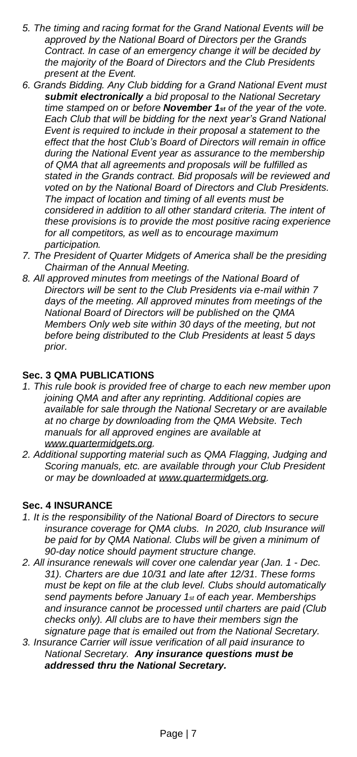- *5. The timing and racing format for the Grand National Events will be approved by the National Board of Directors per the Grands Contract. In case of an emergency change it will be decided by the majority of the Board of Directors and the Club Presidents present at the Event.*
- *6. Grands Bidding. Any Club bidding for a Grand National Event must submit electronically a bid proposal to the National Secretary time stamped on or before November 1st of the year of the vote. Each Club that will be bidding for the next year's Grand National Event is required to include in their proposal a statement to the effect that the host Club's Board of Directors will remain in office during the National Event year as assurance to the membership of QMA that all agreements and proposals will be fulfilled as stated in the Grands contract. Bid proposals will be reviewed and voted on by the National Board of Directors and Club Presidents. The impact of location and timing of all events must be considered in addition to all other standard criteria. The intent of these provisions is to provide the most positive racing experience for all competitors, as well as to encourage maximum participation.*
- *7. The President of Quarter Midgets of America shall be the presiding Chairman of the Annual Meeting.*
- *8. All approved minutes from meetings of the National Board of Directors will be sent to the Club Presidents via e-mail within 7 days of the meeting. All approved minutes from meetings of the National Board of Directors will be published on the QMA Members Only web site within 30 days of the meeting, but not before being distributed to the Club Presidents at least 5 days prior.*

### <span id="page-6-0"></span>**Sec. 3 QMA PUBLICATIONS**

- *1. This rule book is provided free of charge to each new member upon joining QMA and after any reprinting. Additional copies are available for sale through the National Secretary or are available at no charge by downloading from the QMA Website. Tech manuals for all approved engines are available at [www.quartermidgets.org.](http://www.quartermidgets.org/)*
- *2. Additional supporting material such as QMA Flagging, Judging and Scoring manuals, etc. are available through your Club President or may be downloaded at [www.quartermidgets.org.](http://www.quartermidgets.org/)*

#### <span id="page-6-1"></span>**Sec. 4 INSURANCE**

- *1. It is the responsibility of the National Board of Directors to secure insurance coverage for QMA clubs. In 2020, club Insurance will be paid for by QMA National. Clubs will be given a minimum of 90-day notice should payment structure change.*
- *2. All insurance renewals will cover one calendar year (Jan. 1 - Dec. 31). Charters are due 10/31 and late after 12/31. These forms must be kept on file at the club level. Clubs should automatically send payments before January 1st of each year. Memberships and insurance cannot be processed until charters are paid (Club checks only). All clubs are to have their members sign the signature page that is emailed out from the National Secretary.*
- *3. Insurance Carrier will issue verification of all paid insurance to National Secretary. Any insurance questions must be addressed thru the National Secretary.*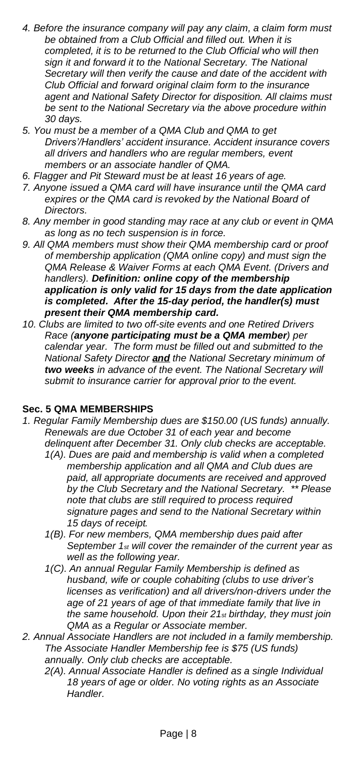- *4. Before the insurance company will pay any claim, a claim form must be obtained from a Club Official and filled out. When it is completed, it is to be returned to the Club Official who will then sign it and forward it to the National Secretary. The National Secretary will then verify the cause and date of the accident with Club Official and forward original claim form to the insurance agent and National Safety Director for disposition. All claims must be sent to the National Secretary via the above procedure within 30 days.*
- *5. You must be a member of a QMA Club and QMA to get Drivers'/Handlers' accident insurance. Accident insurance covers all drivers and handlers who are regular members, event members or an associate handler of QMA.*
- *6. Flagger and Pit Steward must be at least 16 years of age.*
- *7. Anyone issued a QMA card will have insurance until the QMA card expires or the QMA card is revoked by the National Board of Directors.*
- *8. Any member in good standing may race at any club or event in QMA as long as no tech suspension is in force.*
- *9. All QMA members must show their QMA membership card or proof of membership application (QMA online copy) and must sign the QMA Release & Waiver Forms at each QMA Event. (Drivers and handlers). Definition: online copy of the membership application is only valid for 15 days from the date application is completed. After the 15-day period, the handler(s) must present their QMA membership card.*
- *10. Clubs are limited to two off-site events and one Retired Drivers Race (anyone participating must be a QMA member) per calendar year. The form must be filled out and submitted to the National Safety Director and the National Secretary minimum of two weeks in advance of the event. The National Secretary will submit to insurance carrier for approval prior to the event.*

## <span id="page-7-0"></span>**Sec. 5 QMA MEMBERSHIPS**

- *1. Regular Family Membership dues are \$150.00 (US funds) annually. Renewals are due October 31 of each year and become delinquent after December 31. Only club checks are acceptable.*
	- *1(A). Dues are paid and membership is valid when a completed membership application and all QMA and Club dues are paid, all appropriate documents are received and approved by the Club Secretary and the National Secretary. \*\* Please note that clubs are still required to process required signature pages and send to the National Secretary within 15 days of receipt.*
	- *1(B). For new members, QMA membership dues paid after September 1st will cover the remainder of the current year as well as the following year.*
	- *1(C). An annual Regular Family Membership is defined as husband, wife or couple cohabiting (clubs to use driver's licenses as verification) and all drivers/non-drivers under the age of 21 years of age of that immediate family that live in the same household. Upon their 21st birthday, they must join QMA as a Regular or Associate member.*
- *2. Annual Associate Handlers are not included in a family membership. The Associate Handler Membership fee is \$75 (US funds) annually. Only club checks are acceptable.*
	- *2(A). Annual Associate Handler is defined as a single Individual 18 years of age or older. No voting rights as an Associate Handler.*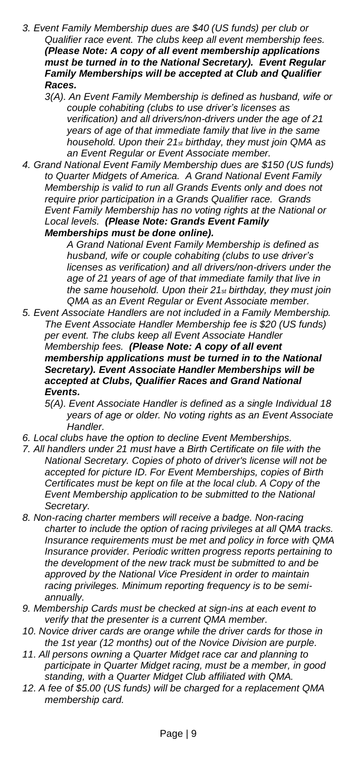- *3. Event Family Membership dues are \$40 (US funds) per club or Qualifier race event. The clubs keep all event membership fees. (Please Note: A copy of all event membership applications must be turned in to the National Secretary). Event Regular Family Memberships will be accepted at Club and Qualifier Races.*
	- *3(A). An Event Family Membership is defined as husband, wife or couple cohabiting (clubs to use driver's licenses as verification) and all drivers/non-drivers under the age of 21 years of age of that immediate family that live in the same household. Upon their 21st birthday, they must join QMA as an Event Regular or Event Associate member.*
- *4. Grand National Event Family Membership dues are \$150 (US funds) to Quarter Midgets of America. A Grand National Event Family Membership is valid to run all Grands Events only and does not require prior participation in a Grands Qualifier race. Grands Event Family Membership has no voting rights at the National or Local levels. (Please Note: Grands Event Family Memberships must be done online).*

*A Grand National Event Family Membership is defined as husband, wife or couple cohabiting (clubs to use driver's licenses as verification) and all drivers/non-drivers under the age of 21 years of age of that immediate family that live in the same household. Upon their 21st birthday, they must join QMA as an Event Regular or Event Associate member.*

- *5. Event Associate Handlers are not included in a Family Membership. The Event Associate Handler Membership fee is \$20 (US funds) per event. The clubs keep all Event Associate Handler Membership fees. (Please Note: A copy of all event membership applications must be turned in to the National Secretary). Event Associate Handler Memberships will be accepted at Clubs, Qualifier Races and Grand National Events.*
	- *5(A). Event Associate Handler is defined as a single Individual 18 years of age or older. No voting rights as an Event Associate Handler.*
- *6. Local clubs have the option to decline Event Memberships.*
- *7. All handlers under 21 must have a Birth Certificate on file with the National Secretary. Copies of photo of driver's license will not be accepted for picture ID. For Event Memberships, copies of Birth Certificates must be kept on file at the local club. A Copy of the Event Membership application to be submitted to the National Secretary.*
- *8. Non-racing charter members will receive a badge. Non-racing charter to include the option of racing privileges at all QMA tracks. Insurance requirements must be met and policy in force with QMA Insurance provider. Periodic written progress reports pertaining to the development of the new track must be submitted to and be approved by the National Vice President in order to maintain racing privileges. Minimum reporting frequency is to be semiannually.*
- *9. Membership Cards must be checked at sign-ins at each event to verify that the presenter is a current QMA member.*
- *10. Novice driver cards are orange while the driver cards for those in the 1st year (12 months) out of the Novice Division are purple.*
- *11. All persons owning a Quarter Midget race car and planning to participate in Quarter Midget racing, must be a member, in good standing, with a Quarter Midget Club affiliated with QMA.*
- *12. A fee of \$5.00 (US funds) will be charged for a replacement QMA membership card.*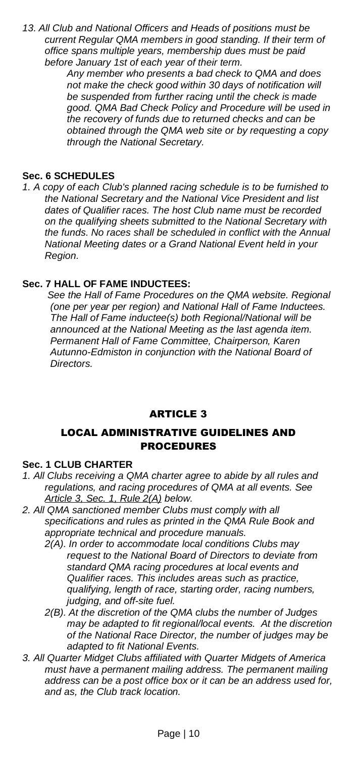*13. All Club and National Officers and Heads of positions must be current Regular QMA members in good standing. If their term of office spans multiple years, membership dues must be paid before January 1st of each year of their term.*

> *Any member who presents a bad check to QMA and does not make the check good within 30 days of notification will be suspended from further racing until the check is made good. QMA Bad Check Policy and Procedure will be used in the recovery of funds due to returned checks and can be obtained through the QMA web site or by requesting a copy through the National Secretary.*

### <span id="page-9-0"></span>**Sec. 6 SCHEDULES**

*1. A copy of each Club's planned racing schedule is to be furnished to the National Secretary and the National Vice President and list dates of Qualifier races. The host Club name must be recorded on the qualifying sheets submitted to the National Secretary with the funds. No races shall be scheduled in conflict with the Annual National Meeting dates or a Grand National Event held in your Region.*

## <span id="page-9-1"></span>**Sec. 7 HALL OF FAME INDUCTEES:**

 *See the Hall of Fame Procedures on the QMA website. Regional (one per year per region) and National Hall of Fame Inductees. The Hall of Fame inductee(s) both Regional/National will be announced at the National Meeting as the last agenda item. Permanent Hall of Fame Committee, Chairperson, Karen Autunno-Edmiston in conjunction with the National Board of Directors.* 

## ARTICLE 3

# <span id="page-9-2"></span>LOCAL ADMINISTRATIVE GUIDELINES AND PROCEDURES

#### <span id="page-9-4"></span><span id="page-9-3"></span>**Sec. 1 CLUB CHARTER**

- *1. All Clubs receiving a QMA charter agree to abide by all rules and regulations, and racing procedures of QMA at all events. See [Article](#page-9-5) 3, Sec. 1, Rule 2(A) below.*
- <span id="page-9-5"></span>*2. All QMA sanctioned member Clubs must comply with all specifications and rules as printed in the QMA Rule Book and appropriate technical and procedure manuals.*
	- *2(A). In order to accommodate local conditions Clubs may request to the National Board of Directors to deviate from standard QMA racing procedures at local events and Qualifier races. This includes areas such as practice, qualifying, length of race, starting order, racing numbers, judging, and off-site fuel.*
	- *2(B). At the discretion of the QMA clubs the number of Judges may be adapted to fit regional/local events. At the discretion of the National Race Director, the number of judges may be adapted to fit National Events.*
- *3. All Quarter Midget Clubs affiliated with Quarter Midgets of America must have a permanent mailing address. The permanent mailing address can be a post office box or it can be an address used for, and as, the Club track location.*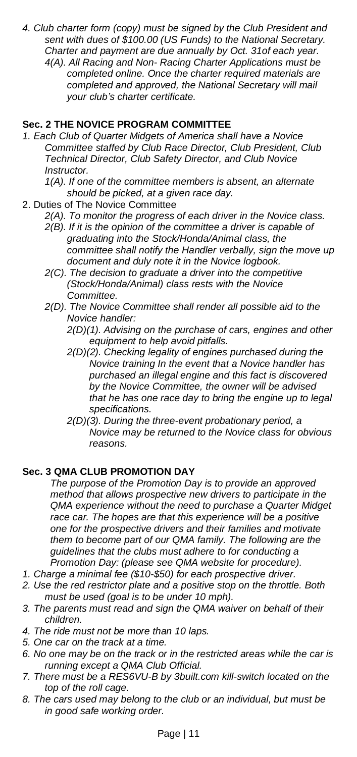- *4. Club charter form (copy) must be signed by the Club President and sent with dues of \$100.00 (US Funds) to the National Secretary. Charter and payment are due annually by Oct. 31of each year.*
	- *4(A). All Racing and Non- Racing Charter Applications must be completed online. Once the charter required materials are completed and approved, the National Secretary will mail your club's charter certificate.*

# <span id="page-10-0"></span>**Sec. 2 THE NOVICE PROGRAM COMMITTEE**

- *1. Each Club of Quarter Midgets of America shall have a Novice Committee staffed by Club Race Director, Club President, Club Technical Director, Club Safety Director, and Club Novice Instructor.*
	- *1(A). If one of the committee members is absent, an alternate should be picked, at a given race day.*
- 2. Duties of The Novice Committee
	- *2(A). To monitor the progress of each driver in the Novice class.*
		- *2(B). If it is the opinion of the committee a driver is capable of graduating into the Stock/Honda/Animal class, the committee shall notify the Handler verbally, sign the move up document and duly note it in the Novice logbook.*
		- *2(C). The decision to graduate a driver into the competitive (Stock/Honda/Animal) class rests with the Novice Committee.*
		- *2(D). The Novice Committee shall render all possible aid to the Novice handler:*
			- *2(D)(1). Advising on the purchase of cars, engines and other equipment to help avoid pitfalls.*
			- *2(D)(2). Checking legality of engines purchased during the Novice training In the event that a Novice handler has purchased an illegal engine and this fact is discovered by the Novice Committee, the owner will be advised that he has one race day to bring the engine up to legal specifications.*
			- *2(D)(3). During the three-event probationary period, a Novice may be returned to the Novice class for obvious reasons.*

#### <span id="page-10-1"></span>**Sec. 3 QMA CLUB PROMOTION DAY**

*The purpose of the Promotion Day is to provide an approved method that allows prospective new drivers to participate in the QMA experience without the need to purchase a Quarter Midget race car. The hopes are that this experience will be a positive one for the prospective drivers and their families and motivate them to become part of our QMA family. The following are the guidelines that the clubs must adhere to for conducting a Promotion Day: (please see QMA website for procedure).*

- *1. Charge a minimal fee (\$10-\$50) for each prospective driver.*
- *2. Use the red restrictor plate and a positive stop on the throttle. Both must be used (goal is to be under 10 mph).*
- *3. The parents must read and sign the QMA waiver on behalf of their children.*
- *4. The ride must not be more than 10 laps.*
- *5. One car on the track at a time.*
- *6. No one may be on the track or in the restricted areas while the car is running except a QMA Club Official.*
- *7. There must be a RES6VU-B by 3built.com kill-switch located on the top of the roll cage.*
- *8. The cars used may belong to the club or an individual, but must be in good safe working order.*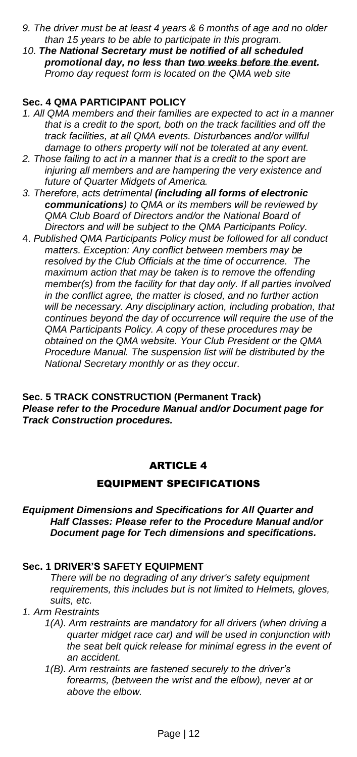- *9. The driver must be at least 4 years & 6 months of age and no older than 15 years to be able to participate in this program.*
- *10. The National Secretary must be notified of all scheduled promotional day, no less than two weeks before the event. Promo day request form is located on the QMA web site*

## <span id="page-11-0"></span>**Sec. 4 QMA PARTICIPANT POLICY**

- *1. All QMA members and their families are expected to act in a manner that is a credit to the sport, both on the track facilities and off the track facilities, at all QMA events. Disturbances and/or willful damage to others property will not be tolerated at any event.*
- *2. Those failing to act in a manner that is a credit to the sport are injuring all members and are hampering the very existence and future of Quarter Midgets of America.*
- *3. Therefore, acts detrimental (including all forms of electronic communications) to QMA or its members will be reviewed by QMA Club Board of Directors and/or the National Board of Directors and will be subject to the QMA Participants Policy.*
- 4. *Published QMA Participants Policy must be followed for all conduct matters. Exception: Any conflict between members may be resolved by the Club Officials at the time of occurrence. The maximum action that may be taken is to remove the offending member(s) from the facility for that day only. If all parties involved in the conflict agree, the matter is closed, and no further action will be necessary. Any disciplinary action, including probation, that continues beyond the day of occurrence will require the use of the QMA Participants Policy. A copy of these procedures may be obtained on the QMA website. Your Club President or the QMA Procedure Manual. The suspension list will be distributed by the National Secretary monthly or as they occur.*

#### <span id="page-11-1"></span>**Sec. 5 TRACK CONSTRUCTION (Permanent Track)** *Please refer to the Procedure Manual and/or Document page for Track Construction procedures.*

## ARTICLE 4

### EQUIPMENT SPECIFICATIONS

#### <span id="page-11-3"></span><span id="page-11-2"></span>*Equipment Dimensions and Specifications for All Quarter and Half Classes: Please refer to the Procedure Manual and/or Document page for Tech dimensions and specifications.*

# <span id="page-11-4"></span>**Sec. 1 DRIVER'S SAFETY EQUIPMENT**

*There will be no degrading of any driver's safety equipment requirements, this includes but is not limited to Helmets, gloves, suits, etc.*

- *1. Arm Restraints*
	- *1(A). Arm restraints are mandatory for all drivers (when driving a quarter midget race car) and will be used in conjunction with the seat belt quick release for minimal egress in the event of an accident.*
	- *1(B). Arm restraints are fastened securely to the driver's forearms, (between the wrist and the elbow), never at or above the elbow.*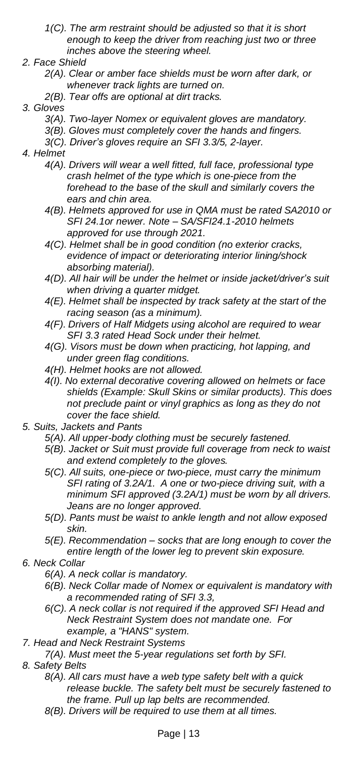- *1(C). The arm restraint should be adjusted so that it is short enough to keep the driver from reaching just two or three inches above the steering wheel.*
- *2. Face Shield*
	- *2(A). Clear or amber face shields must be worn after dark, or whenever track lights are turned on.*
	- *2(B). Tear offs are optional at dirt tracks.*
- *3. Gloves*
	- *3(A). Two-layer Nomex or equivalent gloves are mandatory.*
	- *3(B). Gloves must completely cover the hands and fingers.*
	- *3(C). Driver's gloves require an SFI 3.3/5, 2-layer.*
- *4. Helmet*
	- *4(A). Drivers will wear a well fitted, full face, professional type crash helmet of the type which is one-piece from the forehead to the base of the skull and similarly covers the ears and chin area.*
	- *4(B). Helmets approved for use in QMA must be rated SA2010 or SFI 24.1or newer. Note – SA/SFI24.1-2010 helmets approved for use through 2021.*
	- *4(C). Helmet shall be in good condition (no exterior cracks, evidence of impact or deteriorating interior lining/shock absorbing material).*
	- *4(D). All hair will be under the helmet or inside jacket/driver's suit when driving a quarter midget.*
	- *4(E). Helmet shall be inspected by track safety at the start of the racing season (as a minimum).*
	- *4(F). Drivers of Half Midgets using alcohol are required to wear SFI 3.3 rated Head Sock under their helmet.*
	- *4(G). Visors must be down when practicing, hot lapping, and under green flag conditions.*
	- *4(H). Helmet hooks are not allowed.*
	- *4(I). No external decorative covering allowed on helmets or face shields (Example: Skull Skins or similar products). This does not preclude paint or vinyl graphics as long as they do not cover the face shield.*
- *5. Suits, Jackets and Pants*
	- *5(A). All upper-body clothing must be securely fastened.*
	- *5(B). Jacket or Suit must provide full coverage from neck to waist and extend completely to the gloves.*
	- *5(C). All suits, one-piece or two-piece, must carry the minimum SFI rating of 3.2A/1. A one or two-piece driving suit, with a minimum SFI approved (3.2A/1) must be worn by all drivers. Jeans are no longer approved.*
	- *5(D). Pants must be waist to ankle length and not allow exposed skin.*
	- *5(E). Recommendation – socks that are long enough to cover the entire length of the lower leg to prevent skin exposure.*
- *6. Neck Collar*
	- *6(A). A neck collar is mandatory.*
	- *6(B). Neck Collar made of Nomex or equivalent is mandatory with a recommended rating of SFI 3.3,*
	- *6(C). A neck collar is not required if the approved SFI Head and Neck Restraint System does not mandate one. For example, a "HANS" system.*
- *7. Head and Neck Restraint Systems*
	- *7(A). Must meet the 5-year regulations set forth by SFI.*
- *8. Safety Belts*
	- *8(A). All cars must have a web type safety belt with a quick release buckle. The safety belt must be securely fastened to the frame. Pull up lap belts are recommended.*
	- *8(B). Drivers will be required to use them at all times.*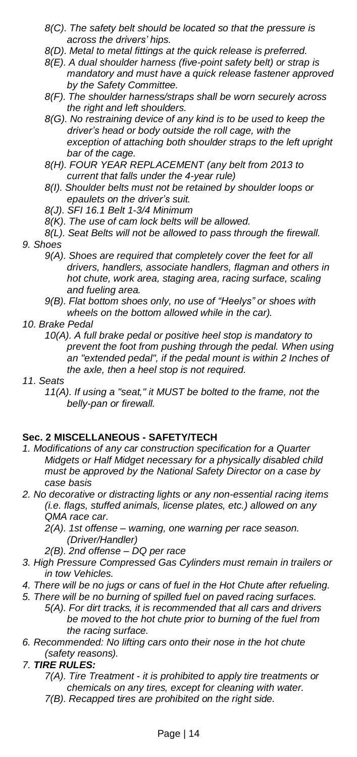- *8(C). The safety belt should be located so that the pressure is across the drivers' hips.*
- *8(D). Metal to metal fittings at the quick release is preferred.*
- *8(E). A dual shoulder harness (five-point safety belt) or strap is mandatory and must have a quick release fastener approved by the Safety Committee.*
- *8(F). The shoulder harness/straps shall be worn securely across the right and left shoulders.*
- *8(G). No restraining device of any kind is to be used to keep the driver's head or body outside the roll cage, with the exception of attaching both shoulder straps to the left upright bar of the cage.*
- *8(H). FOUR YEAR REPLACEMENT (any belt from 2013 to current that falls under the 4-year rule)*
- *8(I). Shoulder belts must not be retained by shoulder loops or epaulets on the driver's suit.*
- *8(J). SFI 16.1 Belt 1-3/4 Minimum*
- *8(K). The use of cam lock belts will be allowed.*
- *8(L). Seat Belts will not be allowed to pass through the firewall. 9. Shoes*
	- *9(A). Shoes are required that completely cover the feet for all drivers, handlers, associate handlers, flagman and others in hot chute, work area, staging area, racing surface, scaling and fueling area.*
	- *9(B). Flat bottom shoes only, no use of "Heelys" or shoes with wheels on the bottom allowed while in the car).*
- *10. Brake Pedal*
	- *10(A). A full brake pedal or positive heel stop is mandatory to prevent the foot from pushing through the pedal. When using an "extended pedal", if the pedal mount is within 2 Inches of the axle, then a heel stop is not required.*
- *11. Seats*
	- *11(A). If using a "seat," it MUST be bolted to the frame, not the belly-pan or firewall.*

## <span id="page-13-0"></span>**Sec. 2 MISCELLANEOUS - SAFETY/TECH**

- *1. Modifications of any car construction specification for a Quarter Midgets or Half Midget necessary for a physically disabled child must be approved by the National Safety Director on a case by case basis*
- *2. No decorative or distracting lights or any non-essential racing items (i.e. flags, stuffed animals, license plates, etc.) allowed on any QMA race car.*
	- *2(A). 1st offense – warning, one warning per race season. (Driver/Handler)*
	- *2(B). 2nd offense – DQ per race*
- *3. High Pressure Compressed Gas Cylinders must remain in trailers or in tow Vehicles.*
- *4. There will be no jugs or cans of fuel in the Hot Chute after refueling.*
- *5. There will be no burning of spilled fuel on paved racing surfaces. 5(A). For dirt tracks, it is recommended that all cars and drivers be moved to the hot chute prior to burning of the fuel from the racing surface.*
- *6. Recommended: No lifting cars onto their nose in the hot chute (safety reasons).*
- *7. TIRE RULES:*
	- *7(A). Tire Treatment - it is prohibited to apply tire treatments or chemicals on any tires, except for cleaning with water.*
	- *7(B). Recapped tires are prohibited on the right side.*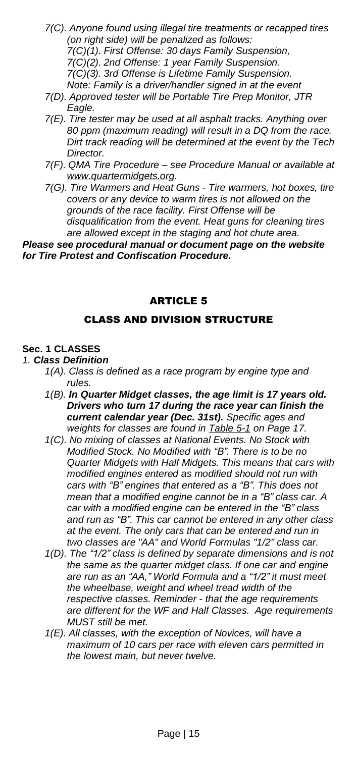- *7(C). Anyone found using illegal tire treatments or recapped tires (on right side) will be penalized as follows: 7(C)(1). First Offense: 30 days Family Suspension, 7(C)(2). 2nd Offense: 1 year Family Suspension. 7(C)(3). 3rd Offense is Lifetime Family Suspension. Note: Family is a driver/handler signed in at the event*
- *7(D). Approved tester will be Portable Tire Prep Monitor, JTR Eagle.*
- *7(E). Tire tester may be used at all asphalt tracks. Anything over 80 ppm (maximum reading) will result in a DQ from the race. Dirt track reading will be determined at the event by the Tech Director.*
- *7(F). QMA Tire Procedure – see Procedure Manual or available at [www.quartermidgets.org.](http://www.quartermidgets.org/)*
- *7(G). Tire Warmers and Heat Guns - Tire warmers, hot boxes, tire covers or any device to warm tires is not allowed on the grounds of the race facility. First Offense will be disqualification from the event. Heat guns for cleaning tires are allowed except in the staging and hot chute area.*

<span id="page-14-0"></span>*Please see procedural manual or document page on the website for Tire Protest and Confiscation Procedure.*

### ARTICLE 5

### CLASS AND DIVISION STRUCTURE

# <span id="page-14-2"></span><span id="page-14-1"></span>**Sec. 1 CLASSES**

# *1. Class Definition*

- *1(A). Class is defined as a race program by engine type and rules.*
- *1(B). In Quarter Midget classes, the age limit is 17 years old. Drivers who turn 17 during the race year can finish the current calendar year (Dec. 31st). Specific ages and weights for classes are found in [Table](#page-16-0) 5-1 on Page 17.*
- *1(C). No mixing of classes at National Events. No Stock with Modified Stock. No Modified with "B". There is to be no Quarter Midgets with Half Midgets. This means that cars with modified engines entered as modified should not run with cars with "B" engines that entered as a "B". This does not mean that a modified engine cannot be in a "B" class car. A car with a modified engine can be entered in the "B" class and run as "B". This car cannot be entered in any other class at the event. The only cars that can be entered and run in two classes are "AA" and World Formulas "1/2" class car.*
- *1(D). The "1/2" class is defined by separate dimensions and is not the same as the quarter midget class. If one car and engine are run as an "AA," World Formula and a "1/2" it must meet the wheelbase, weight and wheel tread width of the respective classes. Reminder - that the age requirements are different for the WF and Half Classes. Age requirements MUST still be met.*
- *1(E). All classes, with the exception of Novices, will have a maximum of 10 cars per race with eleven cars permitted in the lowest main, but never twelve.*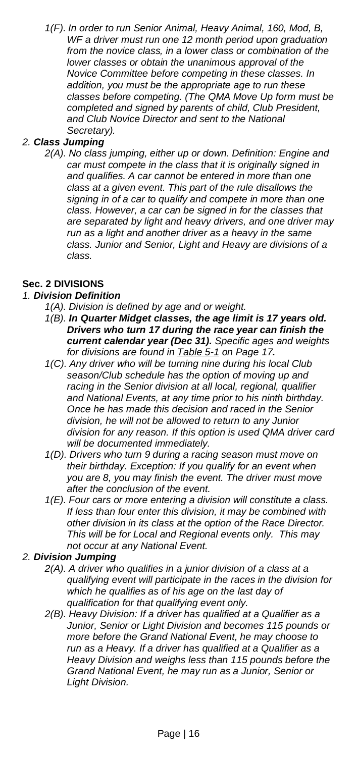*1(F). In order to run Senior Animal, Heavy Animal, 160, Mod, B, WF a driver must run one 12 month period upon graduation from the novice class, in a lower class or combination of the lower classes or obtain the unanimous approval of the Novice Committee before competing in these classes. In addition, you must be the appropriate age to run these classes before competing. (The QMA Move Up form must be completed and signed by parents of child, Club President, and Club Novice Director and sent to the National Secretary).*

### *2. Class Jumping*

*2(A). No class jumping, either up or down. Definition: Engine and car must compete in the class that it is originally signed in and qualifies. A car cannot be entered in more than one class at a given event. This part of the rule disallows the signing in of a car to qualify and compete in more than one class. However, a car can be signed in for the classes that are separated by light and heavy drivers, and one driver may run as a light and another driver as a heavy in the same class. Junior and Senior, Light and Heavy are divisions of a class.*

### <span id="page-15-0"></span>**Sec. 2 DIVISIONS**

### *1. Division Definition*

- *1(A). Division is defined by age and or weight.*
- *1(B). In Quarter Midget classes, the age limit is 17 years old. Drivers who turn 17 during the race year can finish the current calendar year (Dec 31). Specific ages and weights for divisions are found in [Table](#page-16-0) 5-1 on Page 17.*
- *1(C). Any driver who will be turning nine during his local Club season/Club schedule has the option of moving up and racing in the Senior division at all local, regional, qualifier and National Events, at any time prior to his ninth birthday. Once he has made this decision and raced in the Senior division, he will not be allowed to return to any Junior division for any reason. If this option is used QMA driver card will be documented immediately.*
- *1(D). Drivers who turn 9 during a racing season must move on their birthday. Exception: If you qualify for an event when you are 8, you may finish the event. The driver must move after the conclusion of the event.*
- *1(E). Four cars or more entering a division will constitute a class. If less than four enter this division, it may be combined with other division in its class at the option of the Race Director. This will be for Local and Regional events only. This may not occur at any National Event.*

#### *2. Division Jumping*

- *2(A). A driver who qualifies in a junior division of a class at a qualifying event will participate in the races in the division for which he qualifies as of his age on the last day of qualification for that qualifying event only.*
- *2(B). Heavy Division: If a driver has qualified at a Qualifier as a Junior, Senior or Light Division and becomes 115 pounds or more before the Grand National Event, he may choose to run as a Heavy. If a driver has qualified at a Qualifier as a Heavy Division and weighs less than 115 pounds before the Grand National Event, he may run as a Junior, Senior or Light Division.*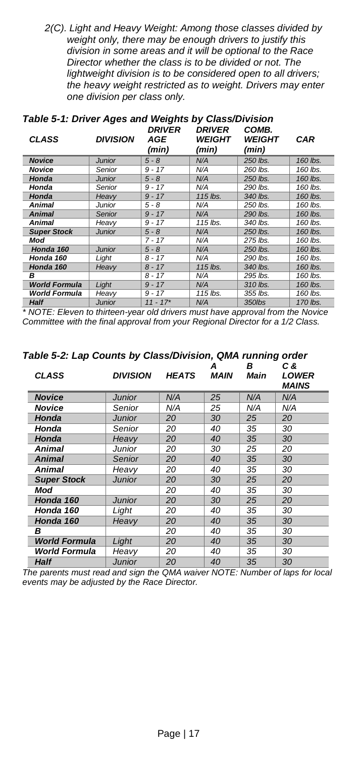*2(C). Light and Heavy Weight: Among those classes divided by weight only, there may be enough drivers to justify this division in some areas and it will be optional to the Race Director whether the class is to be divided or not. The lightweight division is to be considered open to all drivers; the heavy weight restricted as to weight. Drivers may enter one division per class only.*

| <b>CLASS</b>         | <b>DIVISION</b> | DRIVER<br>AGE<br>(min) | <b>DRIVER</b><br><b>WEIGHT</b><br>(min) | COMB.<br><b>WEIGHT</b><br>(min) | <b>CAR</b> |
|----------------------|-----------------|------------------------|-----------------------------------------|---------------------------------|------------|
| <b>Novice</b>        | <b>Junior</b>   | $5 - 8$                | N/A                                     | 250 lbs.                        | 160 lbs.   |
| Novice               | Senior          | $9 - 17$               | N/A                                     | 260 lbs.                        | 160 lbs.   |
| Honda                | <b>Junior</b>   | $5 - 8$                | N/A                                     | 250 lbs.                        | 160 lbs.   |
| Honda                | Senior          | $9 - 17$               | N/A                                     | 290 lbs.                        | 160 lbs.   |
| Honda                | Heavv           | $9 - 17$               | 115 lbs.                                | 340 lbs.                        | 160 lbs.   |
| Animal               | Junior          | 5 - 8                  | N/A                                     | 250 lbs.                        | 160 lbs.   |
| <b>Animal</b>        | Senior          | $9 - 17$               | N/A                                     | 290 lbs.                        | 160 lbs.   |
| Animal               | Heavy           | $9 - 17$               | 115 lbs.                                | 340 lbs.                        | 160 lbs.   |
| <b>Super Stock</b>   | <b>Junior</b>   | $5 - 8$                | N/A                                     | 250 lbs.                        | 160 lbs.   |
| Mod                  |                 | $7 - 17$               | N/A                                     | 275 lbs.                        | 160 lbs.   |
| Honda 160            | <b>Junior</b>   | $5 - 8$                | N/A                                     | 250 lbs.                        | 160 lbs.   |
| Honda 160            | Light           | $8 - 17$               | N/A                                     | 290 lbs.                        | 160 lbs.   |
| Honda 160            | Heavv           | $8 - 17$               | 115 lbs.                                | 340 lbs.                        | 160 lbs.   |
| в                    |                 | $8 - 17$               | N/A                                     | 295 lbs.                        | 160 lbs.   |
| <b>World Formula</b> | Light           | $9 - 17$               | N/A                                     | 310 lbs.                        | 160 lbs.   |
| <b>World Formula</b> | Heavv           | $9 - 17$               | 115 lbs.                                | 355 lbs.                        | 160 lbs.   |
| $H \sim H$           | $l$ unior       | 11 17                  | N I/A                                   | 250                             | $170$ lho  |

# <span id="page-16-0"></span>*Table 5-1: Driver Ages and Weights by Class/Division*

**Half**  $\begin{array}{|c|c|c|c|c|}\n\hline\n\text{Half} & \text{Junior} & 11 - 17^* & \text{N/A} & 350\text{lbs} & 170\text{ lbs.} \\
\hline\n\end{array}$ *Committee with the final approval from your Regional Director for a 1/2 Class.*

| $\frac{1}{2}$ and $\frac{1}{2}$ and $\frac{1}{2}$ and $\frac{1}{2}$ and $\frac{1}{2}$ and $\frac{1}{2}$ and $\frac{1}{2}$ and $\frac{1}{2}$ and $\frac{1}{2}$<br><b>CLASS</b> | <b>DIVISION</b> | <b>HEATS</b> | A<br>MAIN | в<br>Main | C &<br>LOWER<br>MAINS |
|-------------------------------------------------------------------------------------------------------------------------------------------------------------------------------|-----------------|--------------|-----------|-----------|-----------------------|
| <b>Novice</b>                                                                                                                                                                 | <b>Junior</b>   | N/A          | 25        | N/A       | N/A                   |
| <b>Novice</b>                                                                                                                                                                 | Senior          | N/A          | 25        | N/A       | N/A                   |
| Honda                                                                                                                                                                         | <b>Junior</b>   | 20           | 30        | 25        | 20                    |
| Honda                                                                                                                                                                         | Senior          | 20           | 40        | 35        | 30                    |
| Honda                                                                                                                                                                         | Heavy           | 20           | 40        | 35        | 30                    |
| Animal                                                                                                                                                                        | Junior          | 20           | 30        | 25        | 20                    |
| <b>Animal</b>                                                                                                                                                                 | Senior          | 20           | 40        | 35        | 30                    |
| Animal                                                                                                                                                                        | Heavy           | 20           | 40        | 35        | 30                    |
| <b>Super Stock</b>                                                                                                                                                            | Junior          | 20           | 30        | 25        | 20                    |
| Mod                                                                                                                                                                           |                 | 20           | 40        | 35        | 30                    |
| Honda 160                                                                                                                                                                     | Junior          | 20           | 30        | 25        | 20                    |
| Honda 160                                                                                                                                                                     | Light           | 20           | 40        | 35        | 30                    |
| Honda 160                                                                                                                                                                     | Heavy           | 20           | 40        | 35        | 30                    |
| в                                                                                                                                                                             |                 | 20           | 40        | 35        | 30                    |
| <b>World Formula</b>                                                                                                                                                          | Light           | 20           | 40        | 35        | 30                    |
| <b>World Formula</b>                                                                                                                                                          | Heavy           | 20           | 40        | 35        | 30                    |
| <b>Half</b>                                                                                                                                                                   | Junior          | 20           | 40        | 35        | 30                    |

*Table 5-2: Lap Counts by Class/Division, QMA running order*

*The parents must read and sign the QMA waiver NOTE: Number of laps for local events may be adjusted by the Race Director.*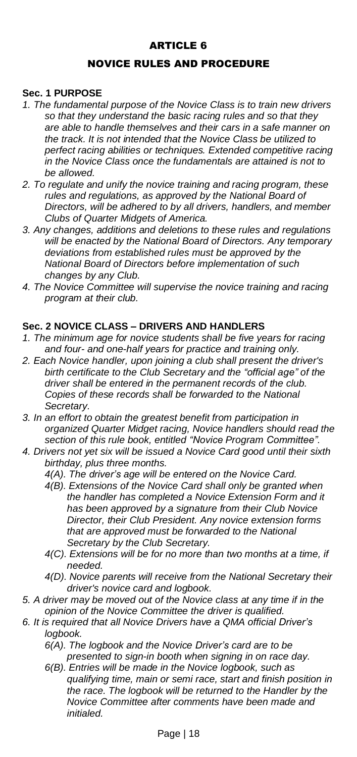# ARTICLE 6

## NOVICE RULES AND PROCEDURE

#### <span id="page-17-2"></span><span id="page-17-1"></span><span id="page-17-0"></span>**Sec. 1 PURPOSE**

- *1. The fundamental purpose of the Novice Class is to train new drivers so that they understand the basic racing rules and so that they are able to handle themselves and their cars in a safe manner on the track. It is not intended that the Novice Class be utilized to perfect racing abilities or techniques. Extended competitive racing in the Novice Class once the fundamentals are attained is not to be allowed.*
- *2. To regulate and unify the novice training and racing program, these rules and regulations, as approved by the National Board of Directors, will be adhered to by all drivers, handlers, and member Clubs of Quarter Midgets of America.*
- *3. Any changes, additions and deletions to these rules and regulations will be enacted by the National Board of Directors. Any temporary deviations from established rules must be approved by the National Board of Directors before implementation of such changes by any Club.*
- *4. The Novice Committee will supervise the novice training and racing program at their club.*

#### <span id="page-17-3"></span>**Sec. 2 NOVICE CLASS – DRIVERS AND HANDLERS**

- *1. The minimum age for novice students shall be five years for racing and four- and one-half years for practice and training only.*
- *2. Each Novice handler, upon joining a club shall present the driver's birth certificate to the Club Secretary and the "official age" of the driver shall be entered in the permanent records of the club. Copies of these records shall be forwarded to the National Secretary.*
- *3. In an effort to obtain the greatest benefit from participation in organized Quarter Midget racing, Novice handlers should read the section of this rule book, entitled "Novice Program Committee".*
- *4. Drivers not yet six will be issued a Novice Card good until their sixth birthday, plus three months.*
	- *4(A). The driver's age will be entered on the Novice Card.*
	- *4(B). Extensions of the Novice Card shall only be granted when the handler has completed a Novice Extension Form and it has been approved by a signature from their Club Novice Director, their Club President. Any novice extension forms that are approved must be forwarded to the National Secretary by the Club Secretary.*
	- *4(C). Extensions will be for no more than two months at a time, if needed.*
	- *4(D). Novice parents will receive from the National Secretary their driver's novice card and logbook.*
- *5. A driver may be moved out of the Novice class at any time if in the opinion of the Novice Committee the driver is qualified.*
- *6. It is required that all Novice Drivers have a QMA official Driver's logbook.*
	- *6(A). The logbook and the Novice Driver's card are to be presented to sign-in booth when signing in on race day.*
	- *6(B). Entries will be made in the Novice logbook, such as qualifying time, main or semi race, start and finish position in the race. The logbook will be returned to the Handler by the Novice Committee after comments have been made and initialed.*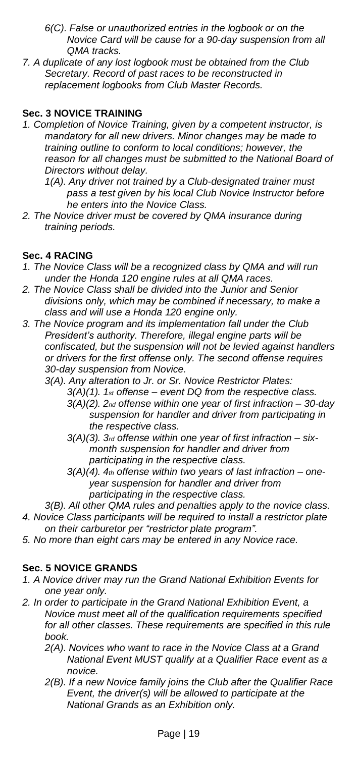- *6(C). False or unauthorized entries in the logbook or on the Novice Card will be cause for a 90-day suspension from all QMA tracks.*
- *7. A duplicate of any lost logbook must be obtained from the Club Secretary. Record of past races to be reconstructed in replacement logbooks from Club Master Records.*

## <span id="page-18-0"></span>**Sec. 3 NOVICE TRAINING**

- *1. Completion of Novice Training, given by a competent instructor, is mandatory for all new drivers. Minor changes may be made to training outline to conform to local conditions; however, the reason for all changes must be submitted to the National Board of Directors without delay.*
	- *1(A). Any driver not trained by a Club-designated trainer must pass a test given by his local Club Novice Instructor before he enters into the Novice Class.*
- *2. The Novice driver must be covered by QMA insurance during training periods.*

## <span id="page-18-1"></span>**Sec. 4 RACING**

- *1. The Novice Class will be a recognized class by QMA and will run under the Honda 120 engine rules at all QMA races.*
- *2. The Novice Class shall be divided into the Junior and Senior divisions only, which may be combined if necessary, to make a class and will use a Honda 120 engine only.*
- *3. The Novice program and its implementation fall under the Club President's authority. Therefore, illegal engine parts will be confiscated, but the suspension will not be levied against handlers or drivers for the first offense only. The second offense requires 30-day suspension from Novice.*
	- *3(A). Any alteration to Jr. or Sr. Novice Restrictor Plates:*
		- *3(A)(1). 1st offense – event DQ from the respective class.*
		- *3(A)(2). 2nd offense within one year of first infraction – 30-day suspension for handler and driver from participating in the respective class.*
		- *3(A)(3). 3rd offense within one year of first infraction – sixmonth suspension for handler and driver from participating in the respective class.*
		- *3(A)(4). 4th offense within two years of last infraction – oneyear suspension for handler and driver from participating in the respective class.*
- *3(B). All other QMA rules and penalties apply to the novice class. 4. Novice Class participants will be required to install a restrictor plate on their carburetor per "restrictor plate program".*
- *5. No more than eight cars may be entered in any Novice race.*

## <span id="page-18-2"></span>**Sec. 5 NOVICE GRANDS**

- *1. A Novice driver may run the Grand National Exhibition Events for one year only.*
- *2. In order to participate in the Grand National Exhibition Event, a Novice must meet all of the qualification requirements specified for all other classes. These requirements are specified in this rule book.*
	- *2(A). Novices who want to race in the Novice Class at a Grand National Event MUST qualify at a Qualifier Race event as a novice.*
	- *2(B). If a new Novice family joins the Club after the Qualifier Race Event, the driver(s) will be allowed to participate at the National Grands as an Exhibition only.*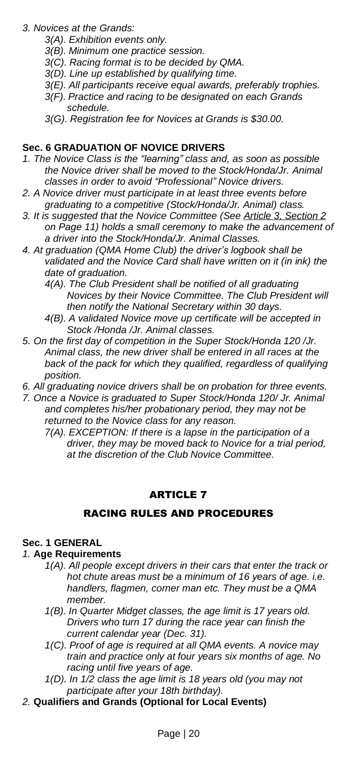- *3. Novices at the Grands:*
	- *3(A). Exhibition events only.*
	- *3(B). Minimum one practice session.*
	- *3(C). Racing format is to be decided by QMA.*
	- *3(D). Line up established by qualifying time.*
	- *3(E). All participants receive equal awards, preferably trophies.*
	- *3(F). Practice and racing to be designated on each Grands schedule.*
	- *3(G). Registration fee for Novices at Grands is \$30.00.*

# <span id="page-19-0"></span>**Sec. 6 GRADUATION OF NOVICE DRIVERS**

- *1. The Novice Class is the "learning" class and, as soon as possible the Novice driver shall be moved to the Stock/Honda/Jr. Animal classes in order to avoid "Professional" Novice drivers.*
- *2. A Novice driver must participate in at least three events before graduating to a competitive (Stock/Honda/Jr. Animal) class.*
- *3. It is suggested that the Novice Committee (See Article 3, [Section](#page-10-0) 2 on Page 11) holds a small ceremony to make the advancement of a driver into the Stock/Honda/Jr. Animal Classes.*
- *4. At graduation (QMA Home Club) the driver's logbook shall be validated and the Novice Card shall have written on it (in ink) the date of graduation.* 
	- *4(A). The Club President shall be notified of all graduating Novices by their Novice Committee. The Club President will then notify the National Secretary within 30 days.*
	- *4(B). A validated Novice move up certificate will be accepted in Stock /Honda /Jr. Animal classes.*
- *5. On the first day of competition in the Super Stock/Honda 120 /Jr. Animal class, the new driver shall be entered in all races at the back of the pack for which they qualified, regardless of qualifying position.*
- *6. All graduating novice drivers shall be on probation for three events.*
- *7. Once a Novice is graduated to Super Stock/Honda 120/ Jr. Animal and completes his/her probationary period, they may not be returned to the Novice class for any reason.*
	- *7(A). EXCEPTION: If there is a lapse in the participation of a driver, they may be moved back to Novice for a trial period, at the discretion of the Club Novice Committee.*

# ARTICLE 7

## RACING RULES AND PROCEDURES

## <span id="page-19-3"></span><span id="page-19-2"></span><span id="page-19-1"></span>**Sec. 1 GENERAL**

#### *1.* **Age Requirements**

- *1(A). All people except drivers in their cars that enter the track or hot chute areas must be a minimum of 16 years of age. i.e. handlers, flagmen, corner man etc. They must be a QMA member.*
- *1(B). In Quarter Midget classes, the age limit is 17 years old. Drivers who turn 17 during the race year can finish the current calendar year (Dec. 31).*
- *1(C). Proof of age is required at all QMA events. A novice may train and practice only at four years six months of age. No racing until five years of age.*
- *1(D). In 1/2 class the age limit is 18 years old (you may not participate after your 18th birthday).*
- *2.* **Qualifiers and Grands (Optional for Local Events)**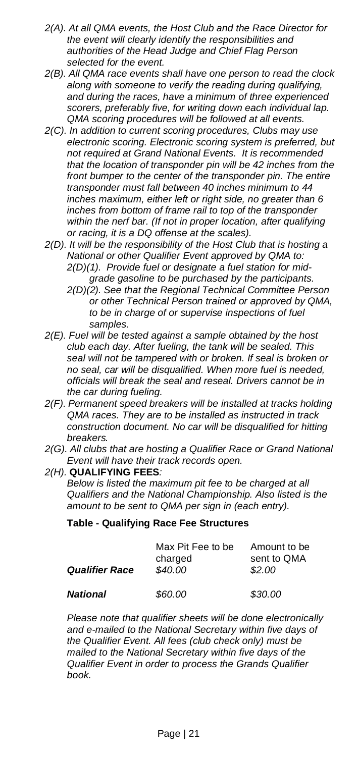- *2(A). At all QMA events, the Host Club and the Race Director for the event will clearly identify the responsibilities and authorities of the Head Judge and Chief Flag Person selected for the event.*
- *2(B). All QMA race events shall have one person to read the clock along with someone to verify the reading during qualifying, and during the races, have a minimum of three experienced scorers, preferably five, for writing down each individual lap. QMA scoring procedures will be followed at all events.*
- *2(C). In addition to current scoring procedures, Clubs may use electronic scoring. Electronic scoring system is preferred, but not required at Grand National Events. It is recommended that the location of transponder pin will be 42 inches from the front bumper to the center of the transponder pin. The entire transponder must fall between 40 inches minimum to 44 inches maximum, either left or right side, no greater than 6 inches from bottom of frame rail to top of the transponder within the nerf bar. (If not in proper location, after qualifying or racing, it is a DQ offense at the scales).*
- *2(D). It will be the responsibility of the Host Club that is hosting a National or other Qualifier Event approved by QMA to: 2(D)(1). Provide fuel or designate a fuel station for midgrade gasoline to be purchased by the participants.*
	- *2(D)(2). See that the Regional Technical Committee Person or other Technical Person trained or approved by QMA, to be in charge of or supervise inspections of fuel samples.*
- *2(E). Fuel will be tested against a sample obtained by the host club each day. After fueling, the tank will be sealed. This seal will not be tampered with or broken. If seal is broken or no seal, car will be disqualified. When more fuel is needed, officials will break the seal and reseal. Drivers cannot be in the car during fueling.*
- *2(F). Permanent speed breakers will be installed at tracks holding QMA races. They are to be installed as instructed in track construction document. No car will be disqualified for hitting breakers.*
- *2(G). All clubs that are hosting a Qualifier Race or Grand National Event will have their track records open.*
- *2(H).* **QUALIFYING FEES***:*

*Below is listed the maximum pit fee to be charged at all Qualifiers and the National Championship. Also listed is the amount to be sent to QMA per sign in (each entry).*

#### **Table - Qualifying Race Fee Structures**

| <b>Qualifier Race</b> | Max Pit Fee to be<br>charged<br>\$40.00 | Amount to be<br>sent to QMA<br>\$2.00 |
|-----------------------|-----------------------------------------|---------------------------------------|
| National              | \$60.00                                 | \$30.00                               |

*Please note that qualifier sheets will be done electronically and e-mailed to the National Secretary within five days of the Qualifier Event. All fees (club check only) must be mailed to the National Secretary within five days of the Qualifier Event in order to process the Grands Qualifier book.*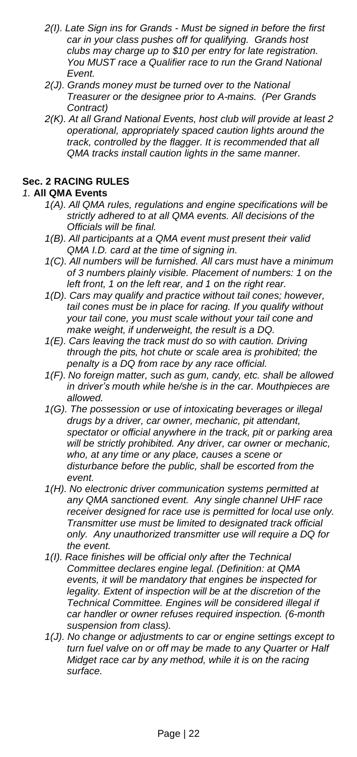- *2(I). Late Sign ins for Grands - Must be signed in before the first car in your class pushes off for qualifying. Grands host clubs may charge up to \$10 per entry for late registration. You MUST race a Qualifier race to run the Grand National Event.*
- *2(J). Grands money must be turned over to the National Treasurer or the designee prior to A-mains. (Per Grands Contract)*
- *2(K). At all Grand National Events, host club will provide at least 2 operational, appropriately spaced caution lights around the track, controlled by the flagger. It is recommended that all QMA tracks install caution lights in the same manner.*

# <span id="page-21-0"></span>**Sec. 2 RACING RULES**

# *1.* **All QMA Events**

- *1(A). All QMA rules, regulations and engine specifications will be strictly adhered to at all QMA events. All decisions of the Officials will be final.*
- *1(B). All participants at a QMA event must present their valid QMA I.D. card at the time of signing in.*
- *1(C). All numbers will be furnished. All cars must have a minimum of 3 numbers plainly visible. Placement of numbers: 1 on the left front, 1 on the left rear, and 1 on the right rear.*
- *1(D). Cars may qualify and practice without tail cones; however, tail cones must be in place for racing. If you qualify without your tail cone, you must scale without your tail cone and make weight, if underweight, the result is a DQ.*
- *1(E). Cars leaving the track must do so with caution. Driving through the pits, hot chute or scale area is prohibited; the penalty is a DQ from race by any race official.*
- *1(F). No foreign matter, such as gum, candy, etc. shall be allowed in driver's mouth while he/she is in the car. Mouthpieces are allowed.*
- *1(G). The possession or use of intoxicating beverages or illegal drugs by a driver, car owner, mechanic, pit attendant, spectator or official anywhere in the track, pit or parking area will be strictly prohibited. Any driver, car owner or mechanic, who, at any time or any place, causes a scene or disturbance before the public, shall be escorted from the event.*
- *1(H). No electronic driver communication systems permitted at any QMA sanctioned event. Any single channel UHF race receiver designed for race use is permitted for local use only. Transmitter use must be limited to designated track official only. Any unauthorized transmitter use will require a DQ for the event.*
- *1(I). Race finishes will be official only after the Technical Committee declares engine legal. (Definition: at QMA events, it will be mandatory that engines be inspected for legality. Extent of inspection will be at the discretion of the Technical Committee. Engines will be considered illegal if car handler or owner refuses required inspection. (6-month suspension from class).*
- *1(J). No change or adjustments to car or engine settings except to turn fuel valve on or off may be made to any Quarter or Half Midget race car by any method, while it is on the racing surface.*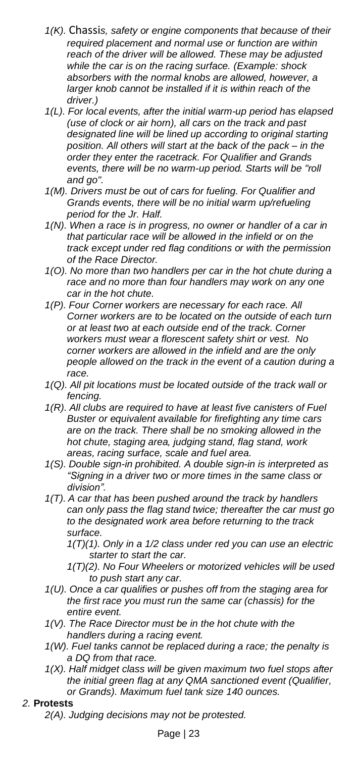- *1(K).* Chassi*s, safety or engine components that because of their required placement and normal use or function are within reach of the driver will be allowed. These may be adjusted while the car is on the racing surface. (Example: shock absorbers with the normal knobs are allowed, however, a larger knob cannot be installed if it is within reach of the driver.)*
- *1(L). For local events, after the initial warm-up period has elapsed (use of clock or air horn), all cars on the track and past designated line will be lined up according to original starting position. All others will start at the back of the pack – in the order they enter the racetrack. For Qualifier and Grands events, there will be no warm-up period. Starts will be "roll and go".*
- *1(M). Drivers must be out of cars for fueling. For Qualifier and Grands events, there will be no initial warm up/refueling period for the Jr. Half.*
- *1(N). When a race is in progress, no owner or handler of a car in that particular race will be allowed in the infield or on the track except under red flag conditions or with the permission of the Race Director.*
- *1(O). No more than two handlers per car in the hot chute during a race and no more than four handlers may work on any one car in the hot chute.*
- *1(P). Four Corner workers are necessary for each race. All Corner workers are to be located on the outside of each turn or at least two at each outside end of the track. Corner workers must wear a florescent safety shirt or vest. No corner workers are allowed in the infield and are the only people allowed on the track in the event of a caution during a race.*
- *1(Q). All pit locations must be located outside of the track wall or fencing.*
- *1(R). All clubs are required to have at least five canisters of Fuel Buster or equivalent available for firefighting any time cars are on the track. There shall be no smoking allowed in the hot chute, staging area, judging stand, flag stand, work areas, racing surface, scale and fuel area.*
- *1(S). Double sign-in prohibited. A double sign-in is interpreted as "Signing in a driver two or more times in the same class or division".*
- *1(T). A car that has been pushed around the track by handlers can only pass the flag stand twice; thereafter the car must go to the designated work area before returning to the track surface.*
	- *1(T)(1). Only in a 1/2 class under red you can use an electric starter to start the car.*
	- *1(T)(2). No Four Wheelers or motorized vehicles will be used to push start any car.*
- *1(U). Once a car qualifies or pushes off from the staging area for the first race you must run the same car (chassis) for the entire event.*
- *1(V). The Race Director must be in the hot chute with the handlers during a racing event.*
- *1(W). Fuel tanks cannot be replaced during a race; the penalty is a DQ from that race.*
- *1(X). Half midget class will be given maximum two fuel stops after the initial green flag at any QMA sanctioned event (Qualifier, or Grands). Maximum fuel tank size 140 ounces.*

## *2.* **Protests**

*2(A). Judging decisions may not be protested.*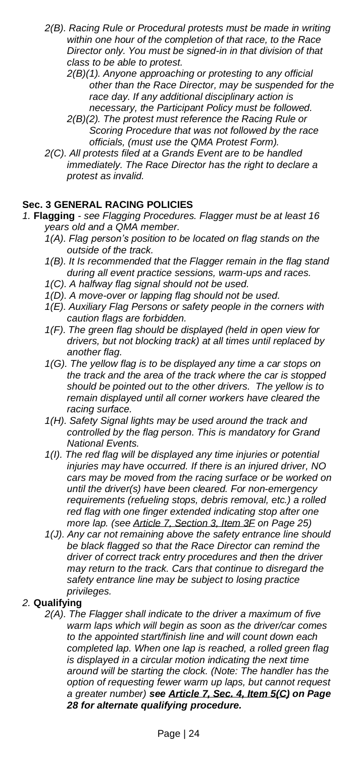- *2(B). Racing Rule or Procedural protests must be made in writing within one hour of the completion of that race, to the Race Director only. You must be signed-in in that division of that class to be able to protest.*
	- *2(B)(1). Anyone approaching or protesting to any official other than the Race Director, may be suspended for the race day. If any additional disciplinary action is necessary, the Participant Policy must be followed.*
	- *2(B)(2). The protest must reference the Racing Rule or Scoring Procedure that was not followed by the race officials, (must use the QMA Protest Form).*
- *2(C). All protests filed at a Grands Event are to be handled immediately. The Race Director has the right to declare a protest as invalid.*

# <span id="page-23-0"></span>**Sec. 3 GENERAL RACING POLICIES**

- *1.* **Flagging** *- see Flagging Procedures. Flagger must be at least 16 years old and a QMA member.*
	- *1(A). Flag person's position to be located on flag stands on the outside of the track.*
	- *1(B). It Is recommended that the Flagger remain in the flag stand during all event practice sessions, warm-ups and races.*
	- *1(C). A halfway flag signal should not be used.*
	- *1(D). A move-over or lapping flag should not be used.*
	- *1(E). Auxiliary Flag Persons or safety people in the corners with caution flags are forbidden.*
	- *1(F). The green flag should be displayed (held in open view for drivers, but not blocking track) at all times until replaced by another flag.*
	- *1(G). The yellow flag is to be displayed any time a car stops on the track and the area of the track where the car is stopped should be pointed out to the other drivers. The yellow is to remain displayed until all corner workers have cleared the racing surface.*
	- *1(H). Safety Signal lights may be used around the track and controlled by the flag person. This is mandatory for Grand National Events.*
	- *1(I). The red flag will be displayed any time injuries or potential injuries may have occurred. If there is an injured driver, NO cars may be moved from the racing surface or be worked on until the driver(s) have been cleared. For non-emergency requirements (refueling stops, debris removal, etc.) a rolled red flag with one finger extended indicating stop after one more lap. (see Article 7, [Section](#page-24-0) 3, Item 3F on Page 25)*
	- *1(J). Any car not remaining above the safety entrance line should be black flagged so that the Race Director can remind the driver of correct track entry procedures and then the driver may return to the track. Cars that continue to disregard the safety entrance line may be subject to losing practice privileges.*

## *2.* **Qualifying**

*2(A). The Flagger shall indicate to the driver a maximum of five warm laps which will begin as soon as the driver/car comes to the appointed start/finish line and will count down each completed lap. When one lap is reached, a rolled green flag is displayed in a circular motion indicating the next time around will be starting the clock. (Note: The handler has the option of requesting fewer warm up laps, but cannot request a greater number) see [Article](#page-27-0) 7, Sec. 4, Item 5(C) on Page 28 for alternate qualifying procedure.*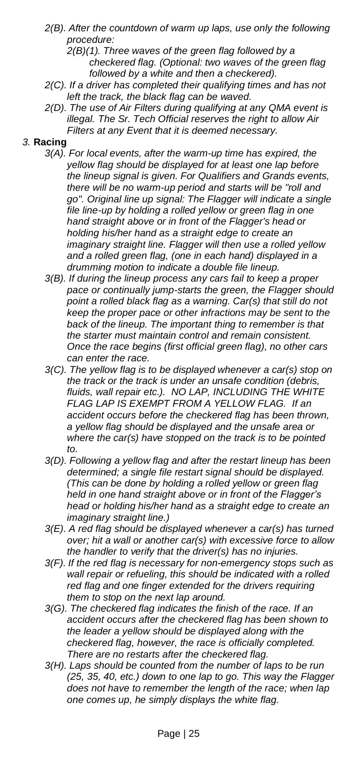*2(B). After the countdown of warm up laps, use only the following procedure:*

*2(B)(1). Three waves of the green flag followed by a checkered flag. (Optional: two waves of the green flag followed by a white and then a checkered).*

- *2(C). If a driver has completed their qualifying times and has not left the track, the black flag can be waved.*
- *2(D). The use of Air Filters during qualifying at any QMA event is illegal. The Sr. Tech Official reserves the right to allow Air Filters at any Event that it is deemed necessary.*

#### *3.* **Racing**

- *3(A). For local events, after the warm-up time has expired, the yellow flag should be displayed for at least one lap before the lineup signal is given. For Qualifiers and Grands events, there will be no warm-up period and starts will be "roll and go". Original line up signal: The Flagger will indicate a single file line-up by holding a rolled yellow or green flag in one hand straight above or in front of the Flagger's head or holding his/her hand as a straight edge to create an imaginary straight line. Flagger will then use a rolled yellow and a rolled green flag, (one in each hand) displayed in a drumming motion to indicate a double file lineup.*
- *3(B). If during the lineup process any cars fail to keep a proper pace or continually jump-starts the green, the Flagger should point a rolled black flag as a warning. Car(s) that still do not keep the proper pace or other infractions may be sent to the back of the lineup. The important thing to remember is that the starter must maintain control and remain consistent. Once the race begins (first official green flag), no other cars can enter the race.*
- *3(C). The yellow flag is to be displayed whenever a car(s) stop on the track or the track is under an unsafe condition (debris, fluids, wall repair etc.). NO LAP, INCLUDING THE WHITE FLAG LAP IS EXEMPT FROM A YELLOW FLAG. If an accident occurs before the checkered flag has been thrown, a yellow flag should be displayed and the unsafe area or where the car(s) have stopped on the track is to be pointed to.*
- *3(D). Following a yellow flag and after the restart lineup has been determined; a single file restart signal should be displayed. (This can be done by holding a rolled yellow or green flag held in one hand straight above or in front of the Flagger's head or holding his/her hand as a straight edge to create an imaginary straight line.)*
- *3(E). A red flag should be displayed whenever a car(s) has turned over; hit a wall or another car(s) with excessive force to allow the handler to verify that the driver(s) has no injuries.*
- <span id="page-24-0"></span>*3(F). If the red flag is necessary for non-emergency stops such as wall repair or refueling, this should be indicated with a rolled red flag and one finger extended for the drivers requiring them to stop on the next lap around.*
- *3(G). The checkered flag indicates the finish of the race. If an accident occurs after the checkered flag has been shown to the leader a yellow should be displayed along with the checkered flag, however, the race is officially completed. There are no restarts after the checkered flag.*
- *3(H). Laps should be counted from the number of laps to be run (25, 35, 40, etc.) down to one lap to go. This way the Flagger does not have to remember the length of the race; when lap one comes up, he simply displays the white flag.*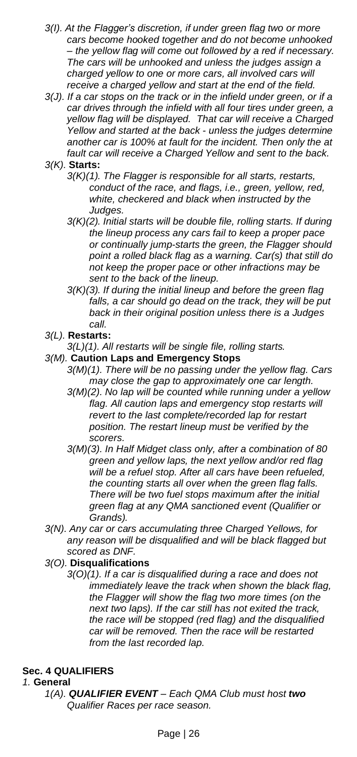- *3(I). At the Flagger's discretion, if under green flag two or more cars become hooked together and do not become unhooked – the yellow flag will come out followed by a red if necessary. The cars will be unhooked and unless the judges assign a charged yellow to one or more cars, all involved cars will receive a charged yellow and start at the end of the field.*
- *3(J). If a car stops on the track or in the infield under green, or if a car drives through the infield with all four tires under green, a yellow flag will be displayed. That car will receive a Charged Yellow and started at the back - unless the judges determine another car is 100% at fault for the incident. Then only the at fault car will receive a Charged Yellow and sent to the back.*
- *3(K).* **Starts:**
	- *3(K)(1). The Flagger is responsible for all starts, restarts, conduct of the race, and flags, i.e., green, yellow, red, white, checkered and black when instructed by the Judges.*
	- *3(K)(2). Initial starts will be double file, rolling starts. If during the lineup process any cars fail to keep a proper pace or continually jump-starts the green, the Flagger should point a rolled black flag as a warning. Car(s) that still do not keep the proper pace or other infractions may be sent to the back of the lineup.*
	- *3(K)(3). If during the initial lineup and before the green flag falls, a car should go dead on the track, they will be put back in their original position unless there is a Judges call.*

### *3(L).* **Restarts:**

*3(L)(1). All restarts will be single file, rolling starts.*

## *3(M).* **Caution Laps and Emergency Stops**

- *3(M)(1). There will be no passing under the yellow flag. Cars may close the gap to approximately one car length.*
- *3(M)(2). No lap will be counted while running under a yellow flag. All caution laps and emergency stop restarts will revert to the last complete/recorded lap for restart position. The restart lineup must be verified by the scorers.*
- *3(M)(3). In Half Midget class only, after a combination of 80 green and yellow laps, the next yellow and/or red flag will be a refuel stop. After all cars have been refueled, the counting starts all over when the green flag falls. There will be two fuel stops maximum after the initial green flag at any QMA sanctioned event (Qualifier or Grands).*
- *3(N). Any car or cars accumulating three Charged Yellows, for any reason will be disqualified and will be black flagged but scored as DNF.*

#### *3(O).* **Disqualifications**

*3(O)(1). If a car is disqualified during a race and does not immediately leave the track when shown the black flag, the Flagger will show the flag two more times (on the next two laps). If the car still has not exited the track, the race will be stopped (red flag) and the disqualified car will be removed. Then the race will be restarted from the last recorded lap.*

## <span id="page-25-0"></span>**Sec. 4 QUALIFIERS**

#### *1.* **General**

*1(A). QUALIFIER EVENT – Each QMA Club must host two Qualifier Races per race season.*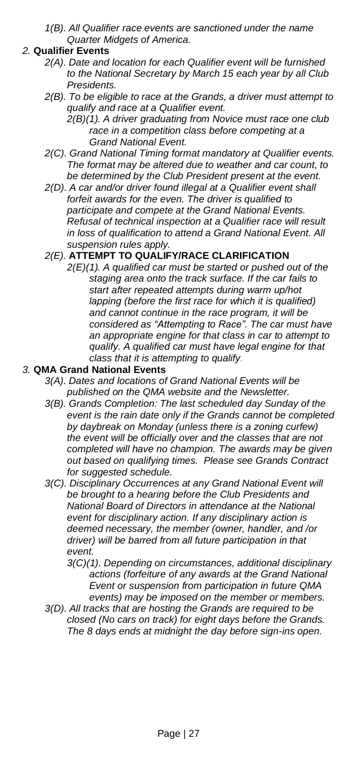*1(B). All Qualifier race events are sanctioned under the name Quarter Midgets of America.*

### *2.* **Qualifier Events**

- *2(A). Date and location for each Qualifier event will be furnished to the National Secretary by March 15 each year by all Club Presidents.*
- *2(B). To be eligible to race at the Grands, a driver must attempt to qualify and race at a Qualifier event.*
	- *2(B)(1). A driver graduating from Novice must race one club race in a competition class before competing at a Grand National Event.*
- *2(C). Grand National Timing format mandatory at Qualifier events. The format may be altered due to weather and car count, to be determined by the Club President present at the event.*
- *2(D). A car and/or driver found illegal at a Qualifier event shall forfeit awards for the even. The driver is qualified to participate and compete at the Grand National Events. Refusal of technical inspection at a Qualifier race will result in loss of qualification to attend a Grand National Event. All suspension rules apply.*

## *2(E).* **ATTEMPT TO QUALIFY/RACE CLARIFICATION**

*2(E)(1). A qualified car must be started or pushed out of the staging area onto the track surface. If the car fails to start after repeated attempts during warm up/hot lapping (before the first race for which it is qualified) and cannot continue in the race program, it will be considered as "Attempting to Race". The car must have an appropriate engine for that class in car to attempt to qualify. A qualified car must have legal engine for that class that it is attempting to qualify.*

#### *3.* **QMA Grand National Events**

- *3(A). Dates and locations of Grand National Events will be published on the QMA website and the Newsletter.*
- *3(B). Grands Completion: The last scheduled day Sunday of the event is the rain date only if the Grands cannot be completed by daybreak on Monday (unless there is a zoning curfew) the event will be officially over and the classes that are not completed will have no champion. The awards may be given out based on qualifying times. Please see Grands Contract for suggested schedule.*
- *3(C). Disciplinary Occurrences at any Grand National Event will be brought to a hearing before the Club Presidents and National Board of Directors in attendance at the National event for disciplinary action. If any disciplinary action is deemed necessary, the member (owner, handler, and /or driver) will be barred from all future participation in that event.*
	- *3(C)(1). Depending on circumstances, additional disciplinary actions (forfeiture of any awards at the Grand National Event or suspension from participation in future QMA events) may be imposed on the member or members.*
- *3(D). All tracks that are hosting the Grands are required to be closed (No cars on track) for eight days before the Grands. The 8 days ends at midnight the day before sign-ins open.*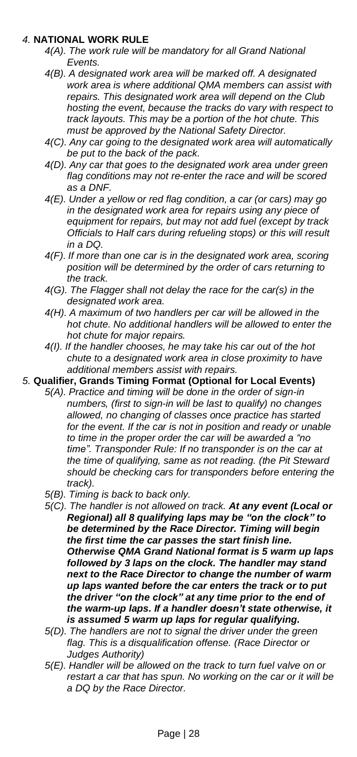### *4.* **NATIONAL WORK RULE**

- *4(A). The work rule will be mandatory for all Grand National Events.*
- *4(B). A designated work area will be marked off. A designated work area is where additional QMA members can assist with repairs. This designated work area will depend on the Club hosting the event, because the tracks do vary with respect to track layouts. This may be a portion of the hot chute. This must be approved by the National Safety Director.*
- *4(C). Any car going to the designated work area will automatically be put to the back of the pack.*
- *4(D). Any car that goes to the designated work area under green flag conditions may not re-enter the race and will be scored as a DNF.*
- *4(E). Under a yellow or red flag condition, a car (or cars) may go in the designated work area for repairs using any piece of equipment for repairs, but may not add fuel (except by track Officials to Half cars during refueling stops) or this will result in a DQ.*
- *4(F). If more than one car is in the designated work area, scoring position will be determined by the order of cars returning to the track.*
- *4(G). The Flagger shall not delay the race for the car(s) in the designated work area.*
- *4(H). A maximum of two handlers per car will be allowed in the hot chute. No additional handlers will be allowed to enter the hot chute for major repairs.*
- *4(I). If the handler chooses, he may take his car out of the hot chute to a designated work area in close proximity to have additional members assist with repairs.*
- <span id="page-27-0"></span>*5.* **Qualifier, Grands Timing Format (Optional for Local Events)**
	- *5(A). Practice and timing will be done in the order of sign-in numbers, (first to sign-in will be last to qualify) no changes allowed, no changing of classes once practice has started for the event. If the car is not in position and ready or unable to time in the proper order the car will be awarded a "no time". Transponder Rule: If no transponder is on the car at the time of qualifying, same as not reading. (the Pit Steward should be checking cars for transponders before entering the track).*
	- *5(B). Timing is back to back only.*
	- *5(C). The handler is not allowed on track. At any event (Local or Regional) all 8 qualifying laps may be "on the clock" to be determined by the Race Director. Timing will begin the first time the car passes the start finish line. Otherwise QMA Grand National format is 5 warm up laps followed by 3 laps on the clock. The handler may stand next to the Race Director to change the number of warm up laps wanted before the car enters the track or to put the driver "on the clock" at any time prior to the end of the warm-up laps. If a handler doesn't state otherwise, it is assumed 5 warm up laps for regular qualifying.*
	- *5(D). The handlers are not to signal the driver under the green flag. This is a disqualification offense. (Race Director or Judges Authority)*
	- *5(E). Handler will be allowed on the track to turn fuel valve on or restart a car that has spun. No working on the car or it will be a DQ by the Race Director.*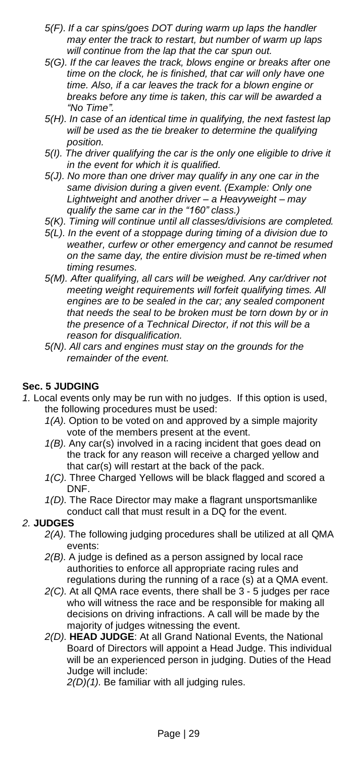- *5(F). If a car spins/goes DOT during warm up laps the handler may enter the track to restart, but number of warm up laps will continue from the lap that the car spun out.*
- *5(G). If the car leaves the track, blows engine or breaks after one time on the clock, he is finished, that car will only have one time. Also, if a car leaves the track for a blown engine or breaks before any time is taken, this car will be awarded a "No Time".*
- *5(H). In case of an identical time in qualifying, the next fastest lap will be used as the tie breaker to determine the qualifying position.*
- *5(I). The driver qualifying the car is the only one eligible to drive it in the event for which it is qualified.*
- *5(J). No more than one driver may qualify in any one car in the same division during a given event. (Example: Only one Lightweight and another driver – a Heavyweight – may qualify the same car in the "160" class.)*
- *5(K). Timing will continue until all classes/divisions are completed.*
- *5(L). In the event of a stoppage during timing of a division due to weather, curfew or other emergency and cannot be resumed on the same day, the entire division must be re-timed when timing resumes.*
- *5(M). After qualifying, all cars will be weighed. Any car/driver not meeting weight requirements will forfeit qualifying times. All engines are to be sealed in the car; any sealed component that needs the seal to be broken must be torn down by or in the presence of a Technical Director, if not this will be a reason for disqualification.*
- *5(N). All cars and engines must stay on the grounds for the remainder of the event.*

## <span id="page-28-0"></span>**Sec. 5 JUDGING**

- *1.* Local events only may be run with no judges. If this option is used, the following procedures must be used:
	- *1(A).* Option to be voted on and approved by a simple majority vote of the members present at the event.
	- *1(B).* Any car(s) involved in a racing incident that goes dead on the track for any reason will receive a charged yellow and that car(s) will restart at the back of the pack.
	- *1(C).* Three Charged Yellows will be black flagged and scored a DNF.
	- *1(D).* The Race Director may make a flagrant unsportsmanlike conduct call that must result in a DQ for the event.

#### *2.* **JUDGES**

- *2(A).* The following judging procedures shall be utilized at all QMA events:
- *2(B).* A judge is defined as a person assigned by local race authorities to enforce all appropriate racing rules and regulations during the running of a race (s) at a QMA event.
- *2(C).* At all QMA race events, there shall be 3 5 judges per race who will witness the race and be responsible for making all decisions on driving infractions. A call will be made by the majority of judges witnessing the event.
- *2(D).* **HEAD JUDGE**: At all Grand National Events, the National Board of Directors will appoint a Head Judge. This individual will be an experienced person in judging. Duties of the Head Judge will include:

*2(D)(1).* Be familiar with all judging rules.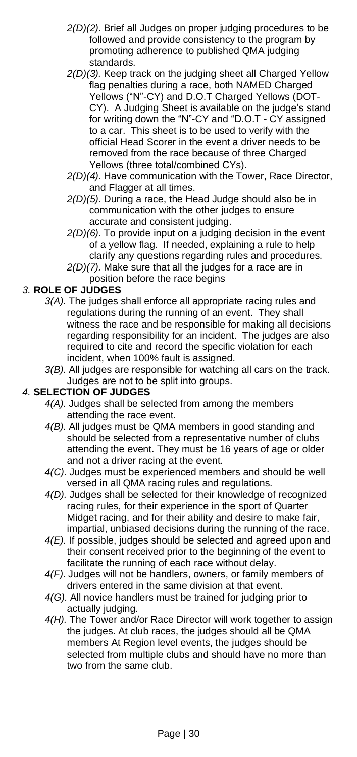- *2(D)(2).* Brief all Judges on proper judging procedures to be followed and provide consistency to the program by promoting adherence to published QMA judging standards.
- *2(D)(3).* Keep track on the judging sheet all Charged Yellow flag penalties during a race, both NAMED Charged Yellows ("N"-CY) and D.O.T Charged Yellows (DOT-CY). A Judging Sheet is available on the judge's stand for writing down the "N"-CY and "D.O.T - CY assigned to a car. This sheet is to be used to verify with the official Head Scorer in the event a driver needs to be removed from the race because of three Charged Yellows (three total/combined CYs).
- *2(D)(4).* Have communication with the Tower, Race Director, and Flagger at all times.
- *2(D)(5).* During a race, the Head Judge should also be in communication with the other judges to ensure accurate and consistent judging.
- *2(D)(6).* To provide input on a judging decision in the event of a yellow flag. If needed, explaining a rule to help clarify any questions regarding rules and procedures.
- *2(D)(7).* Make sure that all the judges for a race are in position before the race begins

### *3.* **ROLE OF JUDGES**

- *3(A).* The judges shall enforce all appropriate racing rules and regulations during the running of an event. They shall witness the race and be responsible for making all decisions regarding responsibility for an incident. The judges are also required to cite and record the specific violation for each incident, when 100% fault is assigned.
- *3(B).* All judges are responsible for watching all cars on the track. Judges are not to be split into groups.

#### *4.* **SELECTION OF JUDGES**

- *4(A).* Judges shall be selected from among the members attending the race event.
- *4(B).* All judges must be QMA members in good standing and should be selected from a representative number of clubs attending the event. They must be 16 years of age or older and not a driver racing at the event.
- *4(C).* Judges must be experienced members and should be well versed in all QMA racing rules and regulations.
- *4(D).* Judges shall be selected for their knowledge of recognized racing rules, for their experience in the sport of Quarter Midget racing, and for their ability and desire to make fair, impartial, unbiased decisions during the running of the race.
- *4(E).* If possible, judges should be selected and agreed upon and their consent received prior to the beginning of the event to facilitate the running of each race without delay.
- *4(F).* Judges will not be handlers, owners, or family members of drivers entered in the same division at that event.
- *4(G).* All novice handlers must be trained for judging prior to actually judging.
- *4(H).* The Tower and/or Race Director will work together to assign the judges. At club races, the judges should all be QMA members At Region level events, the judges should be selected from multiple clubs and should have no more than two from the same club.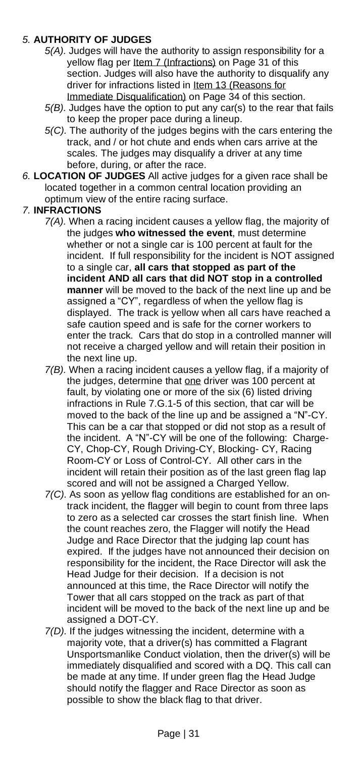## *5.* **AUTHORITY OF JUDGES**

- *5(A).* Judges will have the authority to assign responsibility for a yellow flag per Item 7 [\(Infractions\)](#page-30-0) on Page 31 of this section. Judges will also have the authority to disqualify any driver for infractions listed in Item 13 [\(Reasons](#page-33-0) for Immediate [Disqualification\)](#page-33-0) on Page 34 of this section.
- *5(B).* Judges have the option to put any car(s) to the rear that fails to keep the proper pace during a lineup.
- *5(C).* The authority of the judges begins with the cars entering the track, and / or hot chute and ends when cars arrive at the scales. The judges may disqualify a driver at any time before, during, or after the race.
- *6.* **LOCATION OF JUDGES** All active judges for a given race shall be located together in a common central location providing an optimum view of the entire racing surface.

## <span id="page-30-0"></span>*7.* **INFRACTIONS**

- *7(A).* When a racing incident causes a yellow flag, the majority of the judges **who witnessed the event**, must determine whether or not a single car is 100 percent at fault for the incident. If full responsibility for the incident is NOT assigned to a single car, **all cars that stopped as part of the incident AND all cars that did NOT stop in a controlled manner** will be moved to the back of the next line up and be assigned a "CY", regardless of when the yellow flag is displayed. The track is yellow when all cars have reached a safe caution speed and is safe for the corner workers to enter the track. Cars that do stop in a controlled manner will not receive a charged yellow and will retain their position in the next line up.
- *7(B).* When a racing incident causes a yellow flag, if a majority of the judges, determine that one driver was 100 percent at fault, by violating one or more of the six (6) listed driving infractions in Rule 7.G.1-5 of this section, that car will be moved to the back of the line up and be assigned a "N"-CY. This can be a car that stopped or did not stop as a result of the incident. A "N"-CY will be one of the following: Charge-CY, Chop-CY, Rough Driving-CY, Blocking- CY, Racing Room-CY or Loss of Control-CY. All other cars in the incident will retain their position as of the last green flag lap scored and will not be assigned a Charged Yellow.
- *7(C).* As soon as yellow flag conditions are established for an ontrack incident, the flagger will begin to count from three laps to zero as a selected car crosses the start finish line. When the count reaches zero, the Flagger will notify the Head Judge and Race Director that the judging lap count has expired. If the judges have not announced their decision on responsibility for the incident, the Race Director will ask the Head Judge for their decision. If a decision is not announced at this time, the Race Director will notify the Tower that all cars stopped on the track as part of that incident will be moved to the back of the next line up and be assigned a DOT-CY.
- *7(D).* If the judges witnessing the incident, determine with a majority vote, that a driver(s) has committed a Flagrant Unsportsmanlike Conduct violation, then the driver(s) will be immediately disqualified and scored with a DQ. This call can be made at any time. If under green flag the Head Judge should notify the flagger and Race Director as soon as possible to show the black flag to that driver.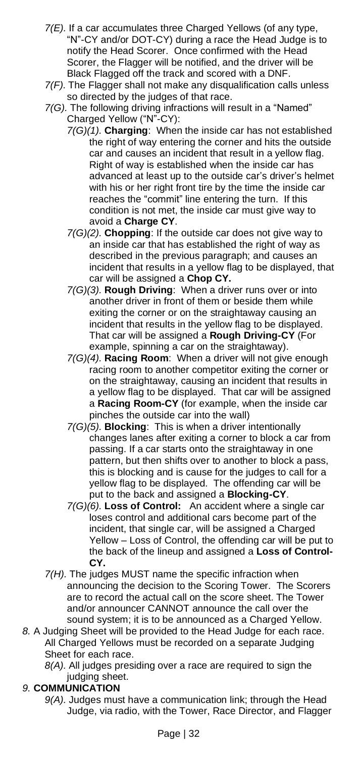- *7(E).* If a car accumulates three Charged Yellows (of any type, "N"-CY and/or DOT-CY) during a race the Head Judge is to notify the Head Scorer. Once confirmed with the Head Scorer, the Flagger will be notified, and the driver will be Black Flagged off the track and scored with a DNF.
- *7(F).* The Flagger shall not make any disqualification calls unless so directed by the judges of that race.
- *7(G).* The following driving infractions will result in a "Named" Charged Yellow ("N"-CY):
	- *7(G)(1).* **Charging**: When the inside car has not established the right of way entering the corner and hits the outside car and causes an incident that result in a yellow flag. Right of way is established when the inside car has advanced at least up to the outside car's driver's helmet with his or her right front tire by the time the inside car reaches the "commit" line entering the turn. If this condition is not met, the inside car must give way to avoid a **Charge CY**.
	- *7(G)(2).* **Chopping**: If the outside car does not give way to an inside car that has established the right of way as described in the previous paragraph; and causes an incident that results in a yellow flag to be displayed, that car will be assigned a **Chop CY.**
	- *7(G)(3).* **Rough Driving**: When a driver runs over or into another driver in front of them or beside them while exiting the corner or on the straightaway causing an incident that results in the yellow flag to be displayed. That car will be assigned a **Rough Driving-CY** (For example, spinning a car on the straightaway).
	- *7(G)(4).* **Racing Room**: When a driver will not give enough racing room to another competitor exiting the corner or on the straightaway, causing an incident that results in a yellow flag to be displayed. That car will be assigned a **Racing Room-CY** (for example, when the inside car pinches the outside car into the wall)
	- *7(G)(5).* **Blocking**: This is when a driver intentionally changes lanes after exiting a corner to block a car from passing. If a car starts onto the straightaway in one pattern, but then shifts over to another to block a pass, this is blocking and is cause for the judges to call for a yellow flag to be displayed. The offending car will be put to the back and assigned a **Blocking-CY**.
	- *7(G)(6).* **Loss of Control:** An accident where a single car loses control and additional cars become part of the incident, that single car, will be assigned a Charged Yellow – Loss of Control, the offending car will be put to the back of the lineup and assigned a **Loss of Control-CY.**
- *7(H).* The judges MUST name the specific infraction when announcing the decision to the Scoring Tower. The Scorers are to record the actual call on the score sheet. The Tower and/or announcer CANNOT announce the call over the sound system; it is to be announced as a Charged Yellow.
- *8.* A Judging Sheet will be provided to the Head Judge for each race. All Charged Yellows must be recorded on a separate Judging Sheet for each race.

*8(A).* All judges presiding over a race are required to sign the judging sheet.

# *9.* **COMMUNICATION**

*9(A).* Judges must have a communication link; through the Head Judge, via radio, with the Tower, Race Director, and Flagger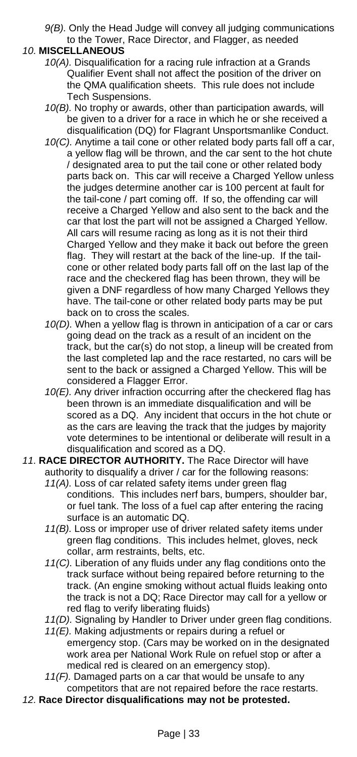*9(B).* Only the Head Judge will convey all judging communications to the Tower, Race Director, and Flagger, as needed

#### *10.* **MISCELLANEOUS**

- *10(A).* Disqualification for a racing rule infraction at a Grands Qualifier Event shall not affect the position of the driver on the QMA qualification sheets. This rule does not include Tech Suspensions.
- *10(B).* No trophy or awards, other than participation awards, will be given to a driver for a race in which he or she received a disqualification (DQ) for Flagrant Unsportsmanlike Conduct.
- *10(C).* Anytime a tail cone or other related body parts fall off a car, a yellow flag will be thrown, and the car sent to the hot chute / designated area to put the tail cone or other related body parts back on. This car will receive a Charged Yellow unless the judges determine another car is 100 percent at fault for the tail-cone / part coming off. If so, the offending car will receive a Charged Yellow and also sent to the back and the car that lost the part will not be assigned a Charged Yellow. All cars will resume racing as long as it is not their third Charged Yellow and they make it back out before the green flag. They will restart at the back of the line-up. If the tailcone or other related body parts fall off on the last lap of the race and the checkered flag has been thrown, they will be given a DNF regardless of how many Charged Yellows they have. The tail-cone or other related body parts may be put back on to cross the scales.
- *10(D).* When a yellow flag is thrown in anticipation of a car or cars going dead on the track as a result of an incident on the track, but the car(s) do not stop, a lineup will be created from the last completed lap and the race restarted, no cars will be sent to the back or assigned a Charged Yellow. This will be considered a Flagger Error.
- *10(E).* Any driver infraction occurring after the checkered flag has been thrown is an immediate disqualification and will be scored as a DQ. Any incident that occurs in the hot chute or as the cars are leaving the track that the judges by majority vote determines to be intentional or deliberate will result in a disqualification and scored as a DQ.
- *11.* **RACE DIRECTOR AUTHORITY.** The Race Director will have authority to disqualify a driver / car for the following reasons: *11(A).* Loss of car related safety items under green flag
	- conditions. This includes nerf bars, bumpers, shoulder bar, or fuel tank. The loss of a fuel cap after entering the racing surface is an automatic DQ.
	- *11(B).* Loss or improper use of driver related safety items under green flag conditions. This includes helmet, gloves, neck collar, arm restraints, belts, etc.
	- *11(C).* Liberation of any fluids under any flag conditions onto the track surface without being repaired before returning to the track. (An engine smoking without actual fluids leaking onto the track is not a DQ; Race Director may call for a yellow or red flag to verify liberating fluids)
	- *11(D).* Signaling by Handler to Driver under green flag conditions.
	- *11(E).* Making adjustments or repairs during a refuel or emergency stop. (Cars may be worked on in the designated work area per National Work Rule on refuel stop or after a medical red is cleared on an emergency stop).
	- *11(F).* Damaged parts on a car that would be unsafe to any competitors that are not repaired before the race restarts.
- *12.* **Race Director disqualifications may not be protested.**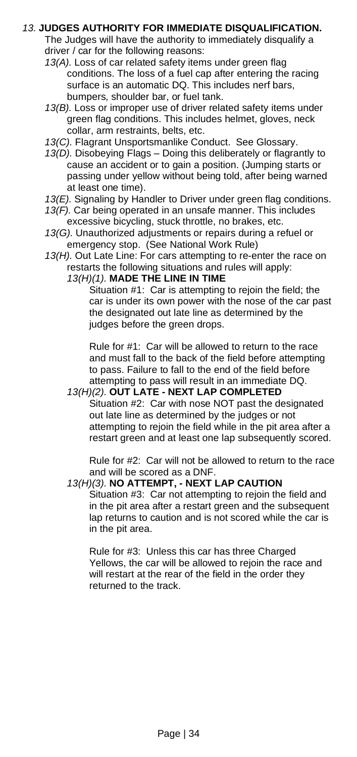## <span id="page-33-0"></span>*13.* **JUDGES AUTHORITY FOR IMMEDIATE DISQUALIFICATION.**

The Judges will have the authority to immediately disqualify a driver / car for the following reasons:

- *13(A).* Loss of car related safety items under green flag conditions. The loss of a fuel cap after entering the racing surface is an automatic DQ. This includes nerf bars, bumpers, shoulder bar, or fuel tank.
- *13(B).* Loss or improper use of driver related safety items under green flag conditions. This includes helmet, gloves, neck collar, arm restraints, belts, etc.
- *13(C).* Flagrant Unsportsmanlike Conduct. See Glossary.
- *13(D).* Disobeying Flags Doing this deliberately or flagrantly to cause an accident or to gain a position. (Jumping starts or passing under yellow without being told, after being warned at least one time).
- 13(E). Signaling by Handler to Driver under green flag conditions.
- *13(F).* Car being operated in an unsafe manner. This includes excessive bicycling, stuck throttle, no brakes, etc.
- *13(G).* Unauthorized adjustments or repairs during a refuel or emergency stop. (See National Work Rule)
- *13(H).* Out Late Line: For cars attempting to re-enter the race on restarts the following situations and rules will apply:

*13(H)(1).* **MADE THE LINE IN TIME**

Situation #1: Car is attempting to rejoin the field; the car is under its own power with the nose of the car past the designated out late line as determined by the judges before the green drops.

Rule for #1: Car will be allowed to return to the race and must fall to the back of the field before attempting to pass. Failure to fall to the end of the field before attempting to pass will result in an immediate DQ.

#### *13(H)(2).* **OUT LATE - NEXT LAP COMPLETED**

Situation #2: Car with nose NOT past the designated out late line as determined by the judges or not attempting to rejoin the field while in the pit area after a restart green and at least one lap subsequently scored.

Rule for #2: Car will not be allowed to return to the race and will be scored as a DNF.

### *13(H)(3).* **NO ATTEMPT, - NEXT LAP CAUTION**

Situation #3: Car not attempting to rejoin the field and in the pit area after a restart green and the subsequent lap returns to caution and is not scored while the car is in the pit area.

Rule for #3: Unless this car has three Charged Yellows, the car will be allowed to rejoin the race and will restart at the rear of the field in the order they returned to the track.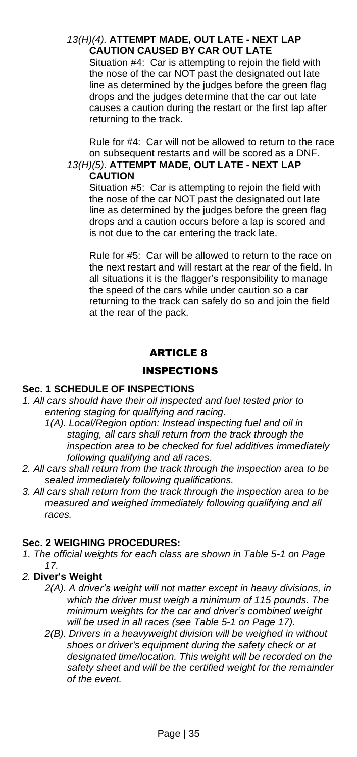#### *13(H)(4).* **ATTEMPT MADE, OUT LATE - NEXT LAP CAUTION CAUSED BY CAR OUT LATE**

Situation #4: Car is attempting to rejoin the field with the nose of the car NOT past the designated out late line as determined by the judges before the green flag drops and the judges determine that the car out late causes a caution during the restart or the first lap after returning to the track.

Rule for #4: Car will not be allowed to return to the race on subsequent restarts and will be scored as a DNF.

#### *13(H)(5).* **ATTEMPT MADE, OUT LATE - NEXT LAP CAUTION**

Situation #5: Car is attempting to rejoin the field with the nose of the car NOT past the designated out late line as determined by the judges before the green flag drops and a caution occurs before a lap is scored and is not due to the car entering the track late.

Rule for #5: Car will be allowed to return to the race on the next restart and will restart at the rear of the field. In all situations it is the flagger's responsibility to manage the speed of the cars while under caution so a car returning to the track can safely do so and join the field at the rear of the pack.

# ARTICLE 8

## <span id="page-34-1"></span>INSPECTIONS

## <span id="page-34-2"></span><span id="page-34-0"></span>**Sec. 1 SCHEDULE OF INSPECTIONS**

- *1. All cars should have their oil inspected and fuel tested prior to entering staging for qualifying and racing.*
	- *1(A). Local/Region option: Instead inspecting fuel and oil in staging, all cars shall return from the track through the inspection area to be checked for fuel additives immediately following qualifying and all races.*
- *2. All cars shall return from the track through the inspection area to be sealed immediately following qualifications.*
- *3. All cars shall return from the track through the inspection area to be measured and weighed immediately following qualifying and all races.*

# <span id="page-34-3"></span>**Sec. 2 WEIGHING PROCEDURES:**

- *1. The official weights for each class are shown in [Table](#page-16-0) 5-1 on Page 17.*
- *2.* **Diver's Weight**
	- *2(A). A driver's weight will not matter except in heavy divisions, in which the driver must weigh a minimum of 115 pounds. The minimum weights for the car and driver's combined weight will be used in all races (see [Table](#page-16-0) 5-1 on Page 17).*
	- *2(B). Drivers in a heavyweight division will be weighed in without shoes or driver's equipment during the safety check or at designated time/location. This weight will be recorded on the safety sheet and will be the certified weight for the remainder of the event.*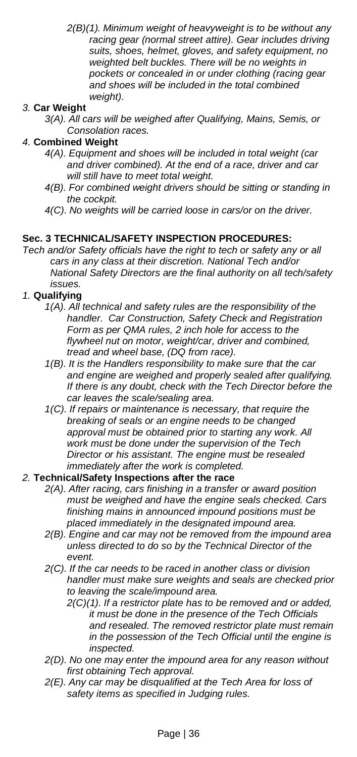*2(B)(1). Minimum weight of heavyweight is to be without any racing gear (normal street attire). Gear includes driving suits, shoes, helmet, gloves, and safety equipment, no weighted belt buckles. There will be no weights in pockets or concealed in or under clothing (racing gear and shoes will be included in the total combined weight).*

### *3.* **Car Weight**

*3(A). All cars will be weighed after Qualifying, Mains, Semis, or Consolation races.*

#### *4.* **Combined Weight**

- *4(A). Equipment and shoes will be included in total weight (car and driver combined). At the end of a race, driver and car will still have to meet total weight.*
- *4(B). For combined weight drivers should be sitting or standing in the cockpit.*
- *4(C). No weights will be carried loose in cars/or on the driver.*

#### <span id="page-35-0"></span>**Sec. 3 TECHNICAL/SAFETY INSPECTION PROCEDURES:**

*Tech and/or Safety officials have the right to tech or safety any or all cars in any class at their discretion. National Tech and/or National Safety Directors are the final authority on all tech/safety issues.*

#### *1.* **Qualifying**

- *1(A). All technical and safety rules are the responsibility of the handler. Car Construction, Safety Check and Registration Form as per QMA rules, 2 inch hole for access to the flywheel nut on motor, weight/car, driver and combined, tread and wheel base, (DQ from race).*
- *1(B). It is the Handlers responsibility to make sure that the car and engine are weighed and properly sealed after qualifying. If there is any doubt, check with the Tech Director before the car leaves the scale/sealing area.*
- *1(C). If repairs or maintenance is necessary, that require the breaking of seals or an engine needs to be changed approval must be obtained prior to starting any work. All work must be done under the supervision of the Tech Director or his assistant. The engine must be resealed immediately after the work is completed.*

#### *2.* **Technical/Safety Inspections after the race**

- *2(A). After racing, cars finishing in a transfer or award position must be weighed and have the engine seals checked. Cars finishing mains in announced impound positions must be placed immediately in the designated impound area.*
- *2(B). Engine and car may not be removed from the impound area unless directed to do so by the Technical Director of the event.*
- *2(C). If the car needs to be raced in another class or division handler must make sure weights and seals are checked prior to leaving the scale/impound area.*
	- *2(C)(1). If a restrictor plate has to be removed and or added, it must be done in the presence of the Tech Officials and resealed. The removed restrictor plate must remain in the possession of the Tech Official until the engine is inspected.*
- *2(D). No one may enter the impound area for any reason without first obtaining Tech approval.*
- *2(E). Any car may be disqualified at the Tech Area for loss of safety items as specified in Judging rules.*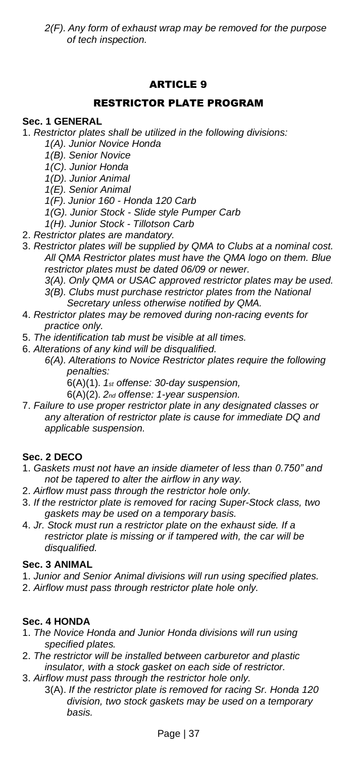# ARTICLE 9

# RESTRICTOR PLATE PROGRAM

#### <span id="page-36-2"></span><span id="page-36-1"></span><span id="page-36-0"></span>**Sec. 1 GENERAL**

- 1. *Restrictor plates shall be utilized in the following divisions:*
	- *1(A). Junior Novice Honda*
	- *1(B). Senior Novice*
	- *1(C). Junior Honda*
	- *1(D). Junior Animal*
	- *1(E). Senior Animal*
	- *1(F). Junior 160 - Honda 120 Carb*
	- *1(G). Junior Stock - Slide style Pumper Carb*
	- *1(H). Junior Stock - Tillotson Carb*
- 2. *Restrictor plates are mandatory.*
- 3. *Restrictor plates will be supplied by QMA to Clubs at a nominal cost. All QMA Restrictor plates must have the QMA logo on them. Blue restrictor plates must be dated 06/09 or newer.*
	- *3(A). Only QMA or USAC approved restrictor plates may be used. 3(B). Clubs must purchase restrictor plates from the National Secretary unless otherwise notified by QMA.*
- 4. *Restrictor plates may be removed during non-racing events for practice only.*
- 5. *The identification tab must be visible at all times.*
- 6. *Alterations of any kind will be disqualified.*
	- *6(A). Alterations to Novice Restrictor plates require the following penalties:*
		- 6(A)(1). *1st offense: 30-day suspension,*
		- 6(A)(2). *2nd offense: 1-year suspension.*
- 7. *Failure to use proper restrictor plate in any designated classes or any alteration of restrictor plate is cause for immediate DQ and applicable suspension.*

## <span id="page-36-3"></span>**Sec. 2 DECO**

- 1. *Gaskets must not have an inside diameter of less than 0.750" and not be tapered to alter the airflow in any way.*
- 2. *Airflow must pass through the restrictor hole only.*
- 3. *If the restrictor plate is removed for racing Super-Stock class, two gaskets may be used on a temporary basis.*
- 4. *Jr. Stock must run a restrictor plate on the exhaust side. If a restrictor plate is missing or if tampered with, the car will be disqualified.*

## <span id="page-36-4"></span>**Sec. 3 ANIMAL**

- 1. *Junior and Senior Animal divisions will run using specified plates.*
- 2. *Airflow must pass through restrictor plate hole only.*

## <span id="page-36-5"></span>**Sec. 4 HONDA**

- 1. *The Novice Honda and Junior Honda divisions will run using specified plates.*
- 2. *The restrictor will be installed between carburetor and plastic insulator, with a stock gasket on each side of restrictor.*
- 3. *Airflow must pass through the restrictor hole only.* 3(A). *If the restrictor plate is removed for racing Sr. Honda 120 division, two stock gaskets may be used on a temporary basis.*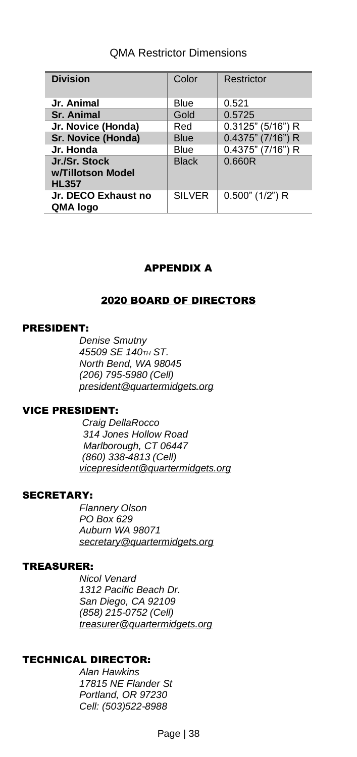# QMA Restrictor Dimensions

| <b>Division</b>     | Color         | Restrictor           |
|---------------------|---------------|----------------------|
|                     |               |                      |
| Jr. Animal          | Blue          | 0.521                |
| <b>Sr. Animal</b>   | Gold          | 0.5725               |
| Jr. Novice (Honda)  | Red           | $0.3125$ " (5/16") R |
| Sr. Novice (Honda)  | <b>Blue</b>   | $0.4375$ " (7/16") R |
| Jr. Honda           | Blue          | 0.4375" (7/16") R    |
| Jr./Sr. Stock       | <b>Black</b>  | 0.660R               |
| w/Tillotson Model   |               |                      |
| <b>HL357</b>        |               |                      |
| Jr. DECO Exhaust no | <b>SILVER</b> | $0.500$ " (1/2") R   |
| QMA logo            |               |                      |

# APPENDIX A

## 2020 BOARD OF DIRECTORS

### <span id="page-37-1"></span><span id="page-37-0"></span>PRESIDENT:

*Denise Smutny 45509 SE 140TH ST. North Bend, WA 98045 (206) 795-5980 (Cell) [president@quartermidgets.org](mailto:president@quartermidgets.org)*

#### VICE PRESIDENT:

*Craig DellaRocco 314 Jones Hollow Road Marlborough, CT 06447 (860) 338-4813 (Cell) [vicepresident@quartermidgets.org](mailto:vicepresident@quartermidgets.org)*

#### SECRETARY:

*Flannery Olson PO Box 629 Auburn WA 98071 [secretary@quartermidgets.org](mailto:secretary@quartermidgets.org)*

### TREASURER:

*Nicol Venard 1312 Pacific Beach Dr. San Diego, CA 92109 (858) 215-0752 (Cell) [treasurer@quartermidgets.org](mailto:treasurer@quartermidgets.org)*

## TECHNICAL DIRECTOR:

*Alan Hawkins 17815 NE Flander St Portland, OR 97230 Cell: (503)522-8988*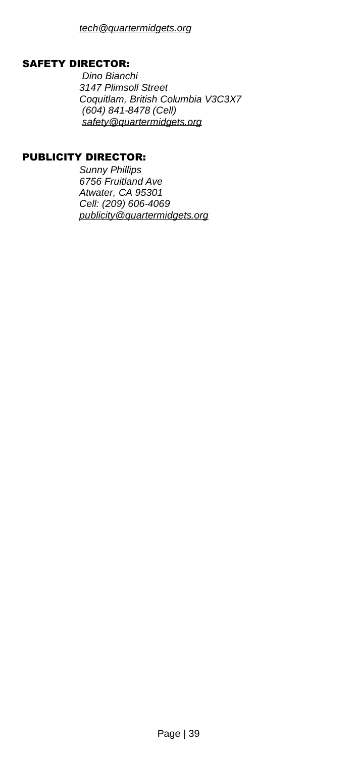## SAFETY DIRECTOR:

*Dino Bianchi 3147 Plimsoll Street Coquitlam, British Columbia V3C3X7 (604) 841-8478 (Cell) [safety@quartermidgets.org](mailto:safety@quartermidgets.org)*

### PUBLICITY DIRECTOR:

*Sunny Phillips 6756 Fruitland Ave Atwater, CA 95301 Cell: (209) 606-4069 [publicity@quartermidgets.org](mailto:publicity@quartermidgets.org)*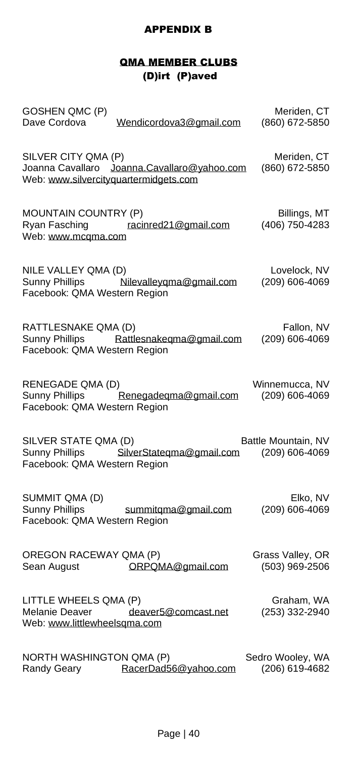# APPENDIX B

# QMA MEMBER CLUBS (D)irt (P)aved

<span id="page-39-1"></span><span id="page-39-0"></span>

| GOSHEN QMC (P)<br>Dave Cordova<br>Wendicordova3@gmail.com                                                   | Meriden, CT<br>(860) 672-5850         |
|-------------------------------------------------------------------------------------------------------------|---------------------------------------|
| SILVER CITY QMA (P)<br>Joanna Cavallaro Joanna.Cavallaro@yahoo.com<br>Web: www.silvercityquartermidgets.com | Meriden, CT<br>(860) 672-5850         |
| MOUNTAIN COUNTRY (P)<br>Ryan Fasching racinred21@gmail.com<br>Web: www.mcqma.com                            | Billings, MT<br>(406) 750-4283        |
| NILE VALLEY QMA (D)<br>Sunny Phillips Milevalleygma@gmail.com<br>Facebook: QMA Western Region               | Lovelock, NV<br>(209) 606-4069        |
| RATTLESNAKE QMA (D)<br>Sunny Phillips Rattlesnakeqma@gmail.com<br>Facebook: QMA Western Region              | Fallon, NV<br>(209) 606-4069          |
| RENEGADE QMA (D)<br>Sunny Phillips Renegadeqma@gmail.com<br>Facebook: QMA Western Region                    | Winnemucca, NV<br>(209) 606-4069      |
| SILVER STATE QMA (D)<br>Sunny Phillips SilverStateqma@gmail.com<br>Facebook: QMA Western Region             | Battle Mountain, NV<br>(209) 606-4069 |
| SUMMIT QMA (D)<br>Sunny Phillips<br>summitqma@gmail.com<br>Facebook: QMA Western Region                     | Elko, NV<br>(209) 606-4069            |
| OREGON RACEWAY QMA (P)<br>ORPOMA@gmail.com<br>Sean August                                                   | Grass Valley, OR<br>(503) 969-2506    |
| LITTLE WHEELS QMA (P)<br>Melanie Deaver deaver5@comcast.net<br>Web: www.littlewheelsqma.com                 | Graham, WA<br>(253) 332-2940          |
|                                                                                                             |                                       |

NORTH WASHINGTON QMA (P) Sedro Wooley, WA Randy Geary [RacerDad56@yahoo.com](mailto:RacerDad56@yahoo.com) (206) 619-4682